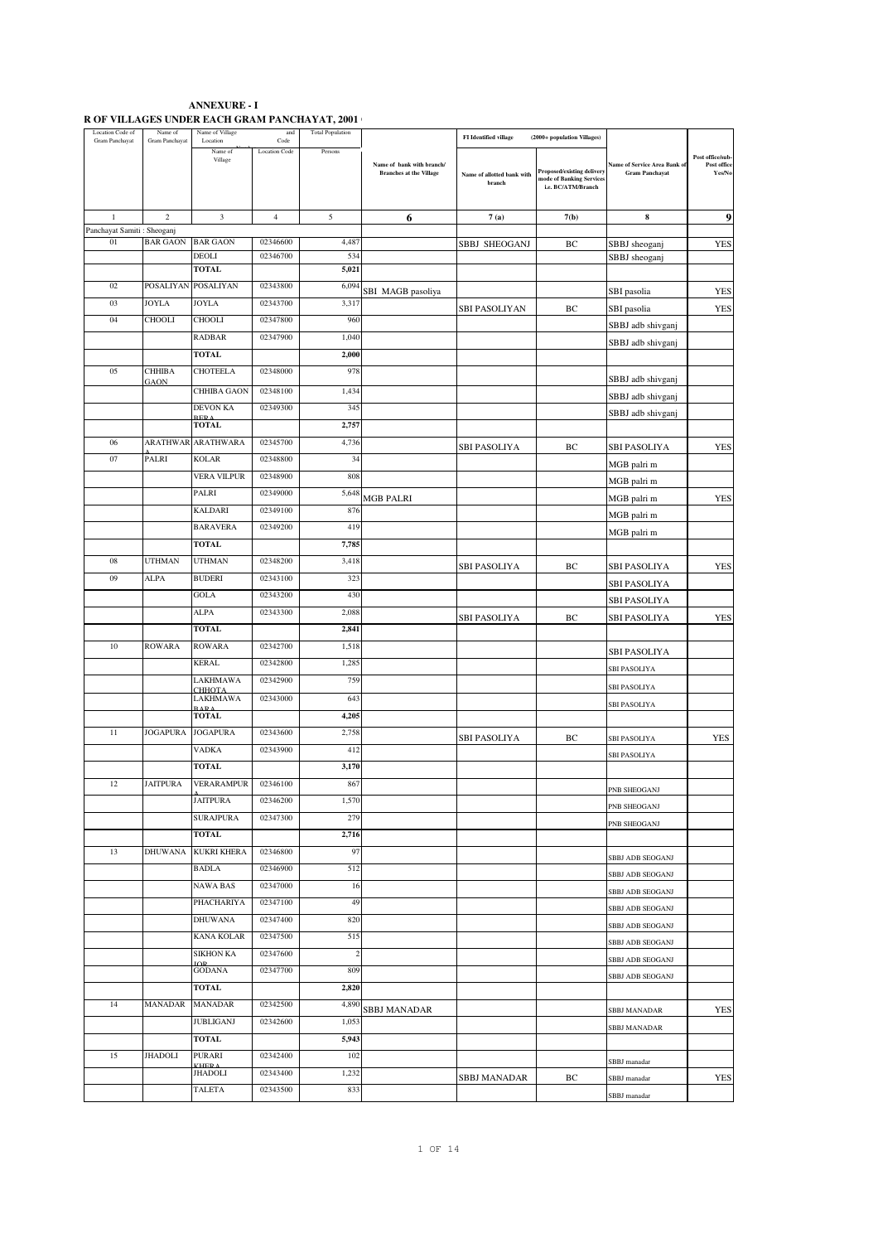| <b>ANNEXURE - I</b>                            |  |
|------------------------------------------------|--|
| R OF VILLAGES UNDER EACH GRAM PANCHAYAT, 2001+ |  |

| Location Code of<br>Gram Panchayat | Name of<br>Gram Panchayat | Name of Village<br>Location | and<br>Code          | <b>Total Population</b> |                                                             | <b>FI</b> Identified village<br>(2000+ population Villages) |                                                                              |                                                              |                                           |
|------------------------------------|---------------------------|-----------------------------|----------------------|-------------------------|-------------------------------------------------------------|-------------------------------------------------------------|------------------------------------------------------------------------------|--------------------------------------------------------------|-------------------------------------------|
|                                    |                           | Name of<br>Village          | <b>Location Code</b> | Persons                 | Name of bank with branch/<br><b>Branches at the Village</b> | Name of allotted bank with<br>branch                        | Proposed/existing delivery<br>mode of Banking Services<br>i.e. BC/ATM/Branch | <b>Name of Service Area Bank of</b><br><b>Gram Panchayat</b> | Post office/sub-<br>Post office<br>Yes/No |
| $\mathbf{1}$                       | $\,2$                     | 3                           | $\overline{4}$       | 5                       | 6                                                           | 7(a)                                                        | 7(b)                                                                         | 8                                                            | 9                                         |
| Panchayat Samiti: Sheoganj         |                           |                             |                      |                         |                                                             |                                                             |                                                                              |                                                              |                                           |
| 01                                 | <b>BAR GAON</b>           | <b>BAR GAON</b>             | 02346600             | 4,487                   |                                                             | SBBJ SHEOGANJ                                               | ВC                                                                           | SBBJ sheoganj                                                | <b>YES</b>                                |
|                                    |                           | <b>DEOLI</b>                | 02346700             | 534                     |                                                             |                                                             |                                                                              | SBBJ sheoganj                                                |                                           |
|                                    |                           | <b>TOTAL</b>                |                      | 5,021                   |                                                             |                                                             |                                                                              |                                                              |                                           |
| 02                                 | POSALIYAN POSALIYAN       |                             | 02343800             | 6,094                   | SBI MAGB pasoliya                                           |                                                             |                                                                              | SBI pasolia                                                  | YES                                       |
| 03                                 | <b>JOYLA</b>              | <b>JOYLA</b>                | 02343700             | 3,317                   |                                                             | SBI PASOLIYAN                                               | BC                                                                           | SBI pasolia                                                  | <b>YES</b>                                |
| 04                                 | CHOOLI                    | <b>CHOOLI</b>               | 02347800             | 960                     |                                                             |                                                             |                                                                              | SBBJ adb shivganj                                            |                                           |
|                                    |                           | <b>RADBAR</b>               | 02347900             | 1,040                   |                                                             |                                                             |                                                                              | SBBJ adb shivganj                                            |                                           |
|                                    |                           | <b>TOTAL</b>                |                      | 2,000                   |                                                             |                                                             |                                                                              |                                                              |                                           |
| 05                                 | СННІВА<br>GAON            | <b>CHOTEELA</b>             | 02348000             | 978                     |                                                             |                                                             |                                                                              | SBBJ adb shivganj                                            |                                           |
|                                    |                           | CHHIBA GAON                 | 02348100             | 1,434                   |                                                             |                                                             |                                                                              | SBBJ adb shivganj                                            |                                           |
|                                    |                           | <b>DEVON KA</b>             | 02349300             | 345                     |                                                             |                                                             |                                                                              | SBBJ adb shivganj                                            |                                           |
|                                    |                           | <b>TOTAL</b>                |                      | 2,757                   |                                                             |                                                             |                                                                              |                                                              |                                           |
| 06                                 | <b>ARATHWAR</b>           | <b>ARATHWARA</b>            | 02345700             | 4,736                   |                                                             |                                                             |                                                                              |                                                              |                                           |
| 07                                 | <b>PALRI</b>              | <b>KOLAR</b>                | 02348800             | 34                      |                                                             | SBI PASOLIYA                                                | ВC                                                                           | SBI PASOLIYA                                                 | <b>YES</b>                                |
|                                    |                           | VERA VILPUR                 | 02348900             | 808                     |                                                             |                                                             |                                                                              | MGB palri m                                                  |                                           |
|                                    |                           | PALRI                       | 02349000             | 5,64                    |                                                             |                                                             |                                                                              | MGB palri m                                                  |                                           |
|                                    |                           | <b>KALDARI</b>              | 02349100             | 876                     | MGB PALRI                                                   |                                                             |                                                                              | MGB palri m                                                  | YES                                       |
|                                    |                           |                             | 02349200             |                         |                                                             |                                                             |                                                                              | MGB palri m                                                  |                                           |
|                                    |                           | <b>BARAVERA</b>             |                      | 419                     |                                                             |                                                             |                                                                              | MGB palri m                                                  |                                           |
|                                    |                           | <b>TOTAL</b>                |                      | 7,785                   |                                                             |                                                             |                                                                              |                                                              |                                           |
| 08                                 | <b>UTHMAN</b>             | <b>UTHMAN</b>               | 02348200             | 3,418                   |                                                             | SBI PASOLIYA                                                | BC                                                                           | <b>SBI PASOLIYA</b>                                          | <b>YES</b>                                |
| 09                                 | ALPA                      | <b>BUDERI</b>               | 02343100             | 323                     |                                                             |                                                             |                                                                              | SBI PASOLIYA                                                 |                                           |
|                                    |                           | <b>GOLA</b>                 | 02343200             | 430                     |                                                             |                                                             |                                                                              | <b>SBI PASOLIYA</b>                                          |                                           |
|                                    |                           | ALPA                        | 02343300             | 2,088                   |                                                             | SBI PASOLIYA                                                | BC                                                                           | <b>SBI PASOLIYA</b>                                          | YES                                       |
|                                    |                           | <b>TOTAL</b>                |                      | 2,841                   |                                                             |                                                             |                                                                              |                                                              |                                           |
| 10                                 | <b>ROWARA</b>             | <b>ROWARA</b>               | 02342700             | 1,518                   |                                                             |                                                             |                                                                              | SBI PASOLIYA                                                 |                                           |
|                                    |                           | <b>KERAL</b>                | 02342800             | 1,285                   |                                                             |                                                             |                                                                              | SBI PASOLIYA                                                 |                                           |
|                                    |                           | LAKHMAWA                    | 02342900             | 759                     |                                                             |                                                             |                                                                              | SBI PASOLIYA                                                 |                                           |
|                                    |                           | СННОТА<br><b>LAKHMAWA</b>   | 02343000             | 643                     |                                                             |                                                             |                                                                              | SBI PASOLIYA                                                 |                                           |
|                                    |                           | RAPA<br><b>TOTAL</b>        |                      | 4,205                   |                                                             |                                                             |                                                                              |                                                              |                                           |
| 11                                 | <b>JOGAPURA</b>           | <b>JOGAPURA</b>             | 02343600             | 2,758                   |                                                             |                                                             |                                                                              |                                                              |                                           |
|                                    |                           | <b>VADKA</b>                | 02343900             | 412                     |                                                             | SBI PASOLIYA                                                | BС                                                                           | <b>SBI PASOLIYA</b>                                          | YES                                       |
|                                    |                           | <b>TOTAL</b>                |                      | 3,170                   |                                                             |                                                             |                                                                              | <b>SBI PASOLIYA</b>                                          |                                           |
| 12                                 | <b>JAITPURA</b>           | <b>VERARAMPUR</b>           | 02346100             | 867                     |                                                             |                                                             |                                                                              |                                                              |                                           |
|                                    |                           | <b>JAITPURA</b>             | 02346200             | 1,570                   |                                                             |                                                             |                                                                              | PNB SHEOGANJ                                                 |                                           |
|                                    |                           | <b>SURAJPURA</b>            | 02347300             | 279                     |                                                             |                                                             |                                                                              | PNB SHEOGANJ                                                 |                                           |
|                                    |                           |                             |                      |                         |                                                             |                                                             |                                                                              | PNB SHEOGANJ                                                 |                                           |
|                                    | <b>DHUWANA</b>            | <b>TOTAL</b>                |                      | 2,716                   |                                                             |                                                             |                                                                              |                                                              |                                           |
| 13                                 |                           | <b>KUKRI KHERA</b>          | 02346800             | 97                      |                                                             |                                                             |                                                                              | SBBJ ADB SEOGANJ                                             |                                           |
|                                    |                           | <b>BADLA</b>                | 02346900             | 512                     |                                                             |                                                             |                                                                              | SBBJ ADB SEOGANJ                                             |                                           |
|                                    |                           | <b>NAWA BAS</b>             | 02347000             | 16                      |                                                             |                                                             |                                                                              | SBBJ ADB SEOGANJ                                             |                                           |
|                                    |                           | PHACHARIYA                  | 02347100             | 49                      |                                                             |                                                             |                                                                              | SBBJ ADB SEOGANJ                                             |                                           |
|                                    |                           | <b>DHUWANA</b>              | 02347400             | 820                     |                                                             |                                                             |                                                                              | SBBJ ADB SEOGANJ                                             |                                           |
|                                    |                           | <b>KANA KOLAR</b>           | 02347500             | 515                     |                                                             |                                                             |                                                                              | SBBJ ADB SEOGANJ                                             |                                           |
|                                    |                           | <b>SIKHON KA</b>            | 02347600             | $\overline{\mathbf{c}}$ |                                                             |                                                             |                                                                              | SBBJ ADB SEOGANJ                                             |                                           |
|                                    |                           | <b>GODANA</b>               | 02347700             | 809                     |                                                             |                                                             |                                                                              | SBBJ ADB SEOGANJ                                             |                                           |
|                                    |                           | <b>TOTAL</b>                |                      | 2,820                   |                                                             |                                                             |                                                                              |                                                              |                                           |
| 14                                 | MANADAR                   | <b>MANADAR</b>              | 02342500             | 4,890                   | SBBJ MANADAR                                                |                                                             |                                                                              | SBBJ MANADAR                                                 | YES                                       |
|                                    |                           | <b>JUBLIGANJ</b>            | 02342600             | 1,053                   |                                                             |                                                             |                                                                              | SBBJ MANADAR                                                 |                                           |
|                                    |                           | <b>TOTAL</b>                |                      | 5,943                   |                                                             |                                                             |                                                                              |                                                              |                                           |
| 15                                 | <b>JHADOLI</b>            | <b>PURARI</b>               | 02342400             | 102                     |                                                             |                                                             |                                                                              |                                                              |                                           |
|                                    |                           | <b>VUED</b><br>JHADOLI      | 02343400             | 1,232                   |                                                             |                                                             |                                                                              | SBBJ manadar                                                 |                                           |
|                                    |                           | <b>TALETA</b>               | 02343500             | 833                     |                                                             | SBBJ MANADAR                                                | ВC                                                                           | SBBJ manadar                                                 | <b>YES</b>                                |
|                                    |                           |                             |                      |                         |                                                             |                                                             |                                                                              | SBBJ manadar                                                 |                                           |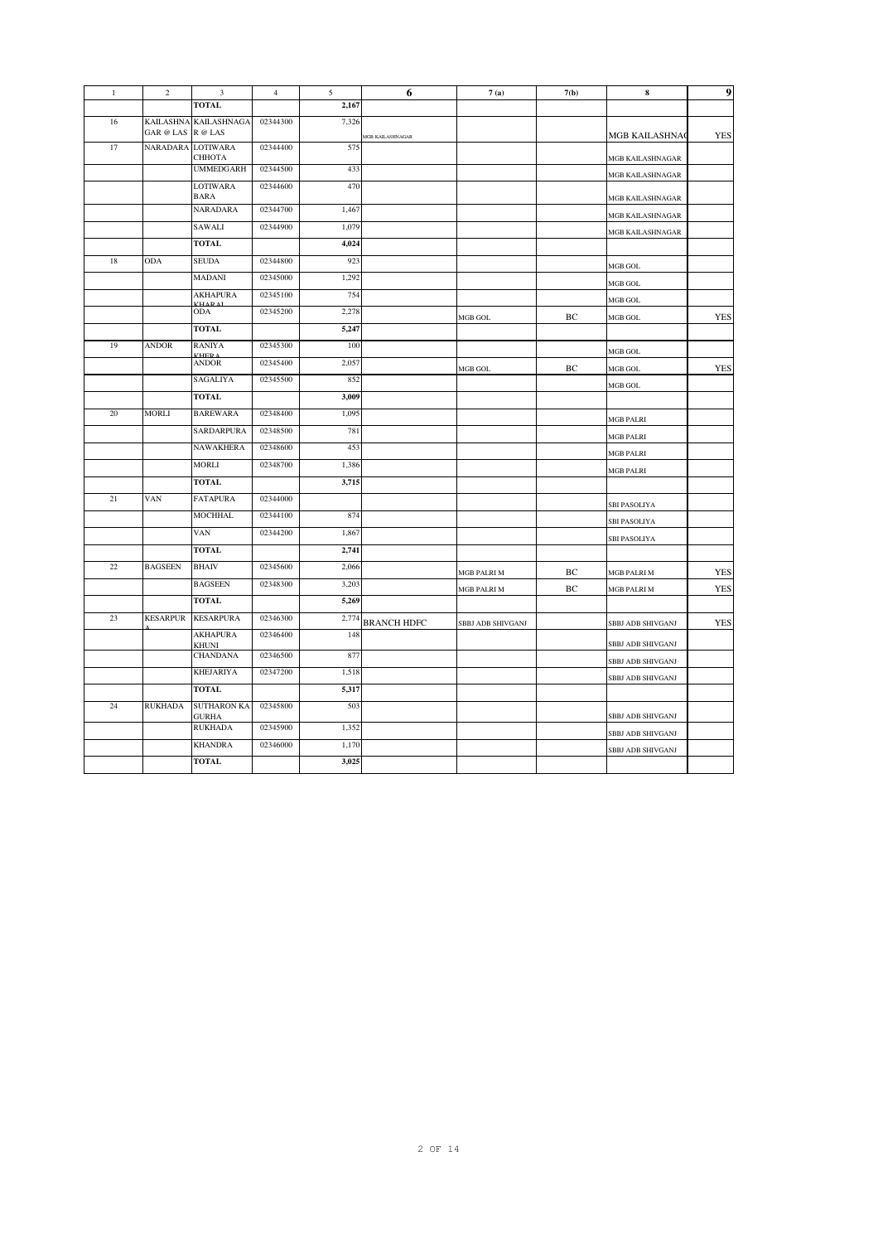| $\mathbf{1}$ | $\overline{c}$    | 3                                  | $\overline{4}$ | 5     | 6                  | 7(a)              | 7(b) | $\bf8$                                 | 9          |
|--------------|-------------------|------------------------------------|----------------|-------|--------------------|-------------------|------|----------------------------------------|------------|
|              |                   | <b>TOTAL</b>                       |                | 2,167 |                    |                   |      |                                        |            |
| 16           | GAR @ LAS R @ LAS | KAILASHNA KAILASHNAGA              | 02344300       | 7,326 | MGB KAILASHNAGAR   |                   |      | MGB KAILASHNAO                         | <b>YES</b> |
| 17           | <b>NARADARA</b>   | <b>LOTIWARA</b><br>СННОТА          | 02344400       | 575   |                    |                   |      | MGB KAILASHNAGAR                       |            |
|              |                   | <b>UMMEDGARH</b>                   | 02344500       | 433   |                    |                   |      | MGB KAILASHNAGAR                       |            |
|              |                   | <b>LOTIWARA</b><br>BARA            | 02344600       | 470   |                    |                   |      | MGB KAILASHNAGAR                       |            |
|              |                   | <b>NARADARA</b>                    | 02344700       | 1,467 |                    |                   |      | MGB KAILASHNAGAR                       |            |
|              |                   | SAWALI                             | 02344900       | 1,079 |                    |                   |      | MGB KAILASHNAGAR                       |            |
|              |                   | <b>TOTAL</b>                       |                | 4,024 |                    |                   |      |                                        |            |
| 18           | <b>ODA</b>        | <b>SEUDA</b>                       | 02344800       | 923   |                    |                   |      | MGB GOL                                |            |
|              |                   | <b>MADANI</b>                      | 02345000       | 1,292 |                    |                   |      | MGB GOL                                |            |
|              |                   | <b>AKHAPURA</b>                    | 02345100       | 754   |                    |                   |      | MGB GOL                                |            |
|              |                   | <b>VUADA</b><br><b>ODA</b>         | 02345200       | 2,278 |                    | MGB GOL           | BC   | MGB GOL                                | <b>YES</b> |
|              |                   | <b>TOTAL</b>                       |                | 5,247 |                    |                   |      |                                        |            |
| 19           | <b>ANDOR</b>      | <b>RANIYA</b>                      | 02345300       | 100   |                    |                   |      | MGB GOL                                |            |
|              |                   | VUCD /<br><b>ANDOR</b>             | 02345400       | 2,057 |                    | MGB GOL           | BC   | MGB GOL                                | <b>YES</b> |
|              |                   | SAGALIYA                           | 02345500       | 852   |                    |                   |      | MGB GOL                                |            |
|              |                   | <b>TOTAL</b>                       |                | 3,009 |                    |                   |      |                                        |            |
| 20           | <b>MORLI</b>      | <b>BAREWARA</b>                    | 02348400       | 1,095 |                    |                   |      | <b>MGB PALRI</b>                       |            |
|              |                   | SARDARPURA                         | 02348500       | 781   |                    |                   |      | <b>MGB PALRI</b>                       |            |
|              |                   | <b>NAWAKHERA</b>                   | 02348600       | 453   |                    |                   |      | <b>MGB PALRI</b>                       |            |
|              |                   | <b>MORLI</b>                       | 02348700       | 1,386 |                    |                   |      | <b>MGB PALRI</b>                       |            |
|              |                   | <b>TOTAL</b>                       |                | 3,715 |                    |                   |      |                                        |            |
| 21           | VAN               | <b>FATAPURA</b>                    | 02344000       |       |                    |                   |      | <b>SBI PASOLIYA</b>                    |            |
|              |                   | <b>MOCHHAL</b>                     | 02344100       | 874   |                    |                   |      | <b>SBI PASOLIYA</b>                    |            |
|              |                   | <b>VAN</b>                         | 02344200       | 1,867 |                    |                   |      |                                        |            |
|              |                   | <b>TOTAL</b>                       |                | 2,741 |                    |                   |      | <b>SBI PASOLIYA</b>                    |            |
| 22           | <b>BAGSEEN</b>    | <b>BHAIV</b>                       | 02345600       | 2,066 |                    |                   |      |                                        |            |
|              |                   | <b>BAGSEEN</b>                     | 02348300       | 3,203 |                    | MGB PALRI M       | BC   | MGB PALRI M                            | <b>YES</b> |
|              |                   | <b>TOTAL</b>                       |                | 5,269 |                    | MGB PALRI M       | BC   | MGB PALRI M                            | <b>YES</b> |
| 23           | <b>KESARPUR</b>   | <b>KESARPURA</b>                   | 02346300       | 2,774 | <b>BRANCH HDFC</b> |                   |      |                                        | <b>YES</b> |
|              |                   | <b>AKHAPURA</b><br>KHUNI           | 02346400       | 148   |                    | SBBJ ADB SHIVGANJ |      | SBBJ ADB SHIVGANJ<br>SBBJ ADB SHIVGANJ |            |
|              |                   | <b>CHANDANA</b>                    | 02346500       | 877   |                    |                   |      | SBBJ ADB SHIVGANJ                      |            |
|              |                   | <b>KHEJARIYA</b>                   | 02347200       | 1,518 |                    |                   |      | SBBJ ADB SHIVGANJ                      |            |
|              |                   | <b>TOTAL</b>                       |                | 5,317 |                    |                   |      |                                        |            |
| 24           | <b>RUKHADA</b>    | <b>SUTHARON KA</b><br><b>GURHA</b> | 02345800       | 503   |                    |                   |      | SBBJ ADB SHIVGANJ                      |            |
|              |                   | <b>RUKHADA</b>                     | 02345900       | 1,352 |                    |                   |      | SBBJ ADB SHIVGANJ                      |            |
|              |                   | <b>KHANDRA</b>                     | 02346000       | 1,170 |                    |                   |      | SBBJ ADB SHIVGANJ                      |            |
|              |                   | <b>TOTAL</b>                       |                | 3,025 |                    |                   |      |                                        |            |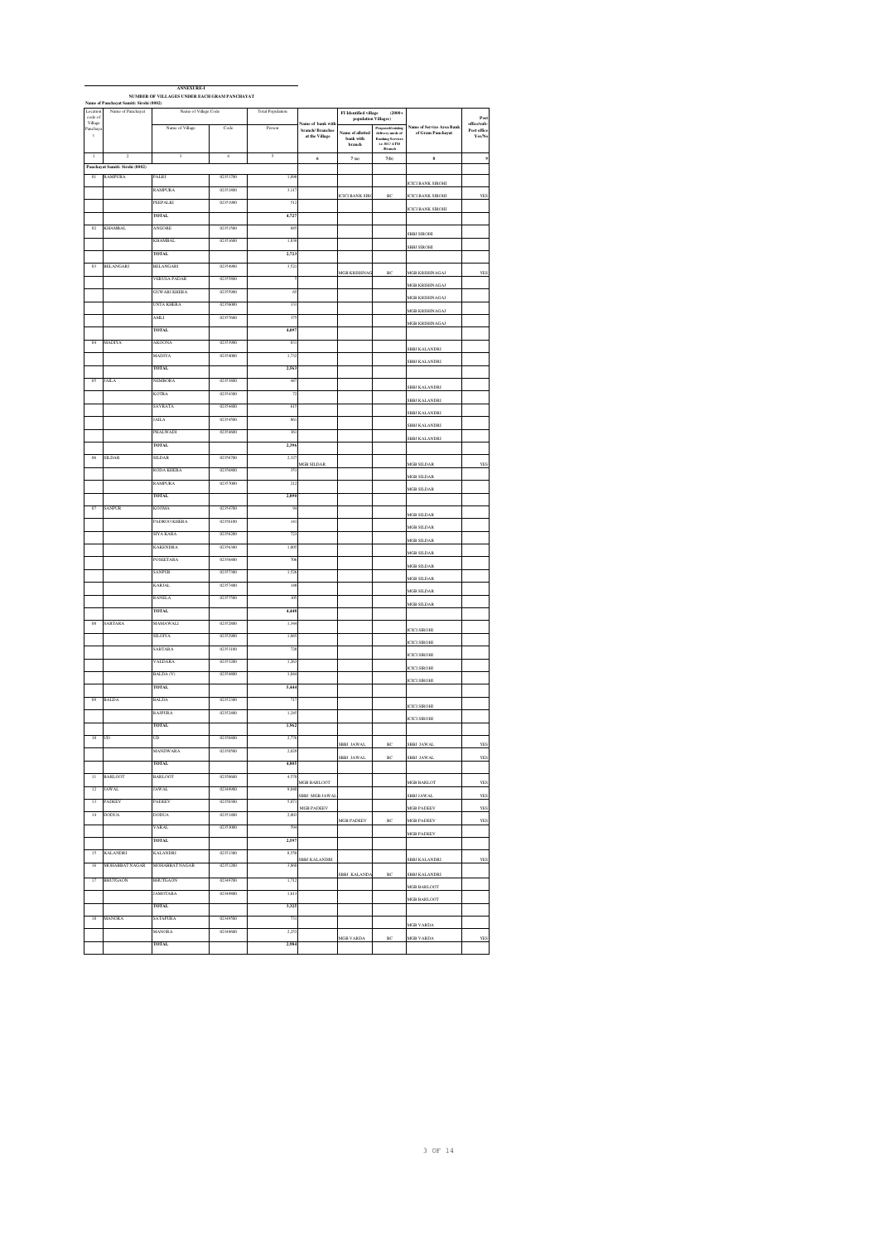|                     | Name of Panchayat Samiti: Sirohi (0002) |                         |                |                         |                                      |                                                                                                             |                                             |                          |                            |
|---------------------|-----------------------------------------|-------------------------|----------------|-------------------------|--------------------------------------|-------------------------------------------------------------------------------------------------------------|---------------------------------------------|--------------------------|----------------------------|
| Location<br>code of | Name of Panchayat                       | Name of Village Code    |                | <b>Total Population</b> |                                      | $\begin{tabular}{l} \bf FI\ Identified\ village\ \hspace{25pt} (2000+\\ population\ Vilages) \end{tabular}$ |                                             |                          | Pos                        |
| Village<br>Panchaya |                                         | Name of Village         | Code           | Person                  | Name of bank with<br>branch/Branches |                                                                                                             |                                             | me of Service Area Bank  | office/sub-<br>Post office |
| $\,$ t $\,$         |                                         |                         |                |                         | at the Village                       | same of allotted<br>$\ensuremath{\mathsf{bank}}\xspace$ with                                                | Proposed/existing<br>delivery mode of       | of Gram Panchayat        | Yes/No                     |
|                     |                                         |                         |                |                         |                                      | branch                                                                                                      | Banking Services<br>i.e. BC/ ATM<br>/Branch |                          |                            |
| $\overline{1}$      | $\overline{2}$                          | $\overline{\mathbf{3}}$ | $\overline{4}$ | 5                       | $\epsilon$                           | $7\,\mathrm{(a)}$                                                                                           | 7(b)                                        | $\bf{s}$                 | 9                          |
|                     | Panchayat Samiti: Sirohi (0002)         |                         |                |                         |                                      |                                                                                                             |                                             |                          |                            |
| 01                  | <b>RAMPURA</b>                          | PALRI                   | 02351700       | 1,09                    |                                      |                                                                                                             |                                             |                          |                            |
|                     |                                         | RAMPURA                 | 02351800       | 3,11'                   |                                      |                                                                                                             |                                             | <b>CICI BANK SIROHI</b>  |                            |
|                     |                                         | PEEPALKI                | 02351900       | 51                      |                                      | <b>ICICI BANK SIRO</b>                                                                                      | BC                                          | <b>ICICI BANK SIROHI</b> | YES                        |
|                     |                                         |                         |                |                         |                                      |                                                                                                             |                                             | <b>ICICI BANK SIROHI</b> |                            |
|                     |                                         | <b>TOTAL</b>            |                | 4,72                    |                                      |                                                                                                             |                                             |                          |                            |
| $\overline{02}$     | <b>KHAMBAL</b>                          | <b>ANGORE</b>           | 02351500       | $^{88}$                 |                                      |                                                                                                             |                                             | <b>SBBJ SIROHI</b>       |                            |
|                     |                                         | <b>KHAMBAL</b>          | 02351600       | 1,83                    |                                      |                                                                                                             |                                             |                          |                            |
|                     |                                         | <b>TOTAL</b>            |                | 2,72                    |                                      |                                                                                                             |                                             | <b>SBBJ SIROHI</b>       |                            |
|                     |                                         | BELANGARI               |                |                         |                                      |                                                                                                             |                                             |                          |                            |
| œ                   | BELANGARI                               |                         | 02354900       | 3,52                    |                                      | <b>IGB KRISHNA</b>                                                                                          | BC                                          | <b>MGB KRISHNAGAJ</b>    | YES                        |
|                     |                                         | VERUSA PADAR            | 02355800       |                         |                                      |                                                                                                             |                                             | MGB KRISHNAGAJ           |                            |
|                     |                                         | <b>GUWARI KHERA</b>     | 02355900       | $\alpha$                |                                      |                                                                                                             |                                             | MGB KRISHNAGAJ           |                            |
|                     |                                         | UNTA KHERA              | 02356000       | 13                      |                                      |                                                                                                             |                                             |                          |                            |
|                     |                                         | AMLI                    | 02357600       | 37                      |                                      |                                                                                                             |                                             | <b>MGB KRISHNAGAJ</b>    |                            |
|                     |                                         | <b>TOTAL</b>            |                | 4,09                    |                                      |                                                                                                             |                                             | <b>MGB KRISHNAGAJ</b>    |                            |
|                     |                                         |                         |                |                         |                                      |                                                                                                             |                                             |                          |                            |
| $_{04}$             | MADIYA                                  | <b>AKOONA</b>           | 02353900       | 831                     |                                      |                                                                                                             |                                             | SBBJ KALANDRI            |                            |
|                     |                                         | MADIYA                  | 02354000       | 1,73                    |                                      |                                                                                                             |                                             | SBBJ KALANDRI            |                            |
|                     |                                         | <b>TOTAL</b>            |                | 2,56                    |                                      |                                                                                                             |                                             |                          |                            |
| 05                  | JAILA                                   | NEMBORA                 | 02353800       | 48                      |                                      |                                                                                                             |                                             |                          |                            |
|                     |                                         | <b>KOTRA</b>            | 02354300       | $\tau$                  |                                      |                                                                                                             |                                             | <b>SBBJ KALANDRI</b>     |                            |
|                     |                                         |                         |                |                         |                                      |                                                                                                             |                                             | SBBJ KALANDRI            |                            |
|                     |                                         | SAVRATA                 | 02354400       | 61                      |                                      |                                                                                                             |                                             | SBBJ KALANDRI            |                            |
|                     |                                         | <b>AILA</b>             | 02354500       | 86                      |                                      |                                                                                                             |                                             | SBBJ KALANDRI            |                            |
|                     |                                         | PHALWADI                | 02354600       | 36                      |                                      |                                                                                                             |                                             |                          |                            |
|                     |                                         | <b>TOTAL</b>            |                | 2.39                    |                                      |                                                                                                             |                                             | SBBJ KALANDRI            |                            |
|                     |                                         |                         |                |                         |                                      |                                                                                                             |                                             |                          |                            |
| 06                  | <b>SILDAR</b>                           | <b>SILDAR</b>           | 02356700       | 2.32                    | MGB SILDAR                           |                                                                                                             |                                             | <b>MGB SILDAR</b>        | <b>YES</b>                 |
|                     |                                         | RODA KHERA              | 02356800       | 35                      |                                      |                                                                                                             |                                             | <b>AGB SILDAR</b>        |                            |
|                     |                                         | RAMPURA                 | 02357000       | 212                     |                                      |                                                                                                             |                                             |                          |                            |
|                     |                                         | <b>TOTAL</b>            |                | 2,89                    |                                      |                                                                                                             |                                             | <b>AGB SILDAR</b>        |                            |
| $\sigma$            | SANPUR                                  | KOOMA                   | 02354700       | 9.                      |                                      |                                                                                                             |                                             |                          |                            |
|                     |                                         |                         |                |                         |                                      |                                                                                                             |                                             | MGB SILDAR               |                            |
|                     |                                         | PADROO KHERA            | 02356100       | 14                      |                                      |                                                                                                             |                                             | <b>MGB SILDAR</b>        |                            |
|                     |                                         | SIYA KARA               | 02356200       | 72                      |                                      |                                                                                                             |                                             | <b>MGB SILDAR</b>        |                            |
|                     |                                         | <b>KAKENDRA</b>         | 02356300       | 1,00                    |                                      |                                                                                                             |                                             |                          |                            |
|                     |                                         | POSEETARA               | 02356400       | 70                      |                                      |                                                                                                             |                                             | <b>MGB SILDAR</b>        |                            |
|                     |                                         | SANPUR                  | 02357300       | 1,52                    |                                      |                                                                                                             |                                             | MGB SILDAR               |                            |
|                     |                                         |                         |                |                         |                                      |                                                                                                             |                                             | <b>AGB SILDAR</b>        |                            |
|                     |                                         | KARJAL                  | 02357400       | 14                      |                                      |                                                                                                             |                                             | <b>AGB SILDAR</b>        |                            |
|                     |                                         | <b>RANELA</b>           | 02357500       | 10                      |                                      |                                                                                                             |                                             | MGB SILDAR               |                            |
|                     |                                         | <b>TOTAL</b>            |                | 4.44                    |                                      |                                                                                                             |                                             |                          |                            |
| $\alpha$            | SARTARA                                 | MAMAWALI                | 02352800       | 1,34                    |                                      |                                                                                                             |                                             |                          |                            |
|                     |                                         | <b>SILOIYA</b>          | 02352900       | 1,06                    |                                      |                                                                                                             |                                             | <b>ICICI SIROHI</b>      |                            |
|                     |                                         |                         |                |                         |                                      |                                                                                                             |                                             | <b>CICI SIROHI</b>       |                            |
|                     |                                         | SARTARA                 | 02353100       | 72                      |                                      |                                                                                                             |                                             | <b>CICI SIROHI</b>       |                            |
|                     |                                         | VALDARA                 | 02353200       | 1,26                    |                                      |                                                                                                             |                                             | <b>ICICI SIROHI</b>      |                            |
|                     |                                         | BALDA (V)               | 02354800       | 1,04                    |                                      |                                                                                                             |                                             |                          |                            |
|                     |                                         | <b>TOTAL</b>            |                | 5,44                    |                                      |                                                                                                             |                                             | <b>CICI SIROHI</b>       |                            |
| 09                  | BALDA                                   | BALDA                   | 02352300       | 71                      |                                      |                                                                                                             |                                             |                          |                            |
|                     |                                         |                         |                |                         |                                      |                                                                                                             |                                             | <b>CICI SIROHI</b>       |                            |
|                     |                                         | <b>RAJPURA</b>          | 02352400       | 1.24                    |                                      |                                                                                                             |                                             | <b>ICICI SIROHI</b>      |                            |
|                     |                                         | <b>TOTAL</b>            |                | 1,96                    |                                      |                                                                                                             |                                             |                          |                            |
| 10                  | UD                                      | UD                      | 02350400       | 277                     |                                      |                                                                                                             |                                             |                          |                            |
|                     |                                         | MANDWARA                | 02350500       | 2,02                    |                                      | SBBJ JAWAL                                                                                                  | BC                                          | SBBJ JAWAL               | YES                        |
|                     |                                         |                         |                |                         |                                      | SBBJ JAWAL                                                                                                  | BC                                          | SBBJ JAWAL               | <b>YES</b>                 |
|                     | <b>BARLOOT</b>                          | <b>BARLOOT</b>          | 02350600       | 4,570                   |                                      |                                                                                                             |                                             |                          |                            |
| 11                  |                                         |                         |                |                         | <b>MGB BARLOOT</b>                   |                                                                                                             |                                             | <b>MGB BARLOT</b>        | YES                        |
| $\overline{12}$     | <b>JAWAL</b>                            | <b>JAWAL</b>            | 02349900       | 9.04                    | <b>SBBJ MGB JAWA</b>                 |                                                                                                             |                                             | <b>SBBJ JAWAL</b>        | YES                        |
| 13                  | PADEEV                                  | PADEEV                  | 02350300       | 5,071                   | <b>MGB PADEEV</b>                    |                                                                                                             |                                             | <b>MGB PADEEV</b>        | YES                        |
| 14                  | <b>DODUA</b>                            | <b>DODUA</b>            | 02351400       | 2,00                    |                                      |                                                                                                             |                                             |                          |                            |
|                     |                                         | VARAL                   | 02353000       | 594                     |                                      | MGB PADEEV                                                                                                  | $_{\mathrm{BC}}$                            | <b>MGB PADEEV</b>        | YES                        |
|                     |                                         | <b>TOTAL</b>            |                | 2,597                   |                                      |                                                                                                             |                                             | MGB PADEEV               |                            |
|                     |                                         |                         |                |                         |                                      |                                                                                                             |                                             |                          |                            |
| 15                  | KALANDRI                                | KALANDRI                | 02351300       | 8,55                    | <b>SBBJ KALANDRI</b>                 |                                                                                                             |                                             | SBBJ KALANDRI            | <b>YES</b>                 |
| 16                  | <b>MOHABBAT NAGAR</b>                   | <b>MOHABBAT NAGAR</b>   | 02351200       | 3,86                    |                                      |                                                                                                             |                                             |                          |                            |
| 17                  | BHUTGAON                                | BHUTGAON                | 02349700       | 1,712                   |                                      | SBBJ KALAND                                                                                                 | $_{\mathrm{BC}}$                            | SBBJ KALANDRI            |                            |
|                     |                                         | JAMOTARA                | 02349800       | 1,61                    |                                      |                                                                                                             |                                             | MGB BARLOOT              |                            |
|                     |                                         |                         |                |                         |                                      |                                                                                                             |                                             | MGB BARLOOT              |                            |
|                     |                                         | TOTAL                   |                | 3,325                   |                                      |                                                                                                             |                                             |                          |                            |
| $18\,$              | MANORA                                  | SATAPURA                | 02349500       | 731                     |                                      |                                                                                                             |                                             | MGB VARDA                |                            |
|                     |                                         | MANORA                  | 02349600       | 2.253                   |                                      |                                                                                                             |                                             |                          |                            |
|                     |                                         | <b>TOTAL</b>            |                | 2,98                    |                                      | MGB VARDA                                                                                                   | BC                                          | MGB VARDA                | YES                        |
|                     |                                         |                         |                |                         |                                      |                                                                                                             |                                             |                          |                            |

 $\overline{\phantom{0}}$ 

### **ANNEXURE-I NUMBER OF VILLAGES UNDER EACH GRAM PANCHAYAT**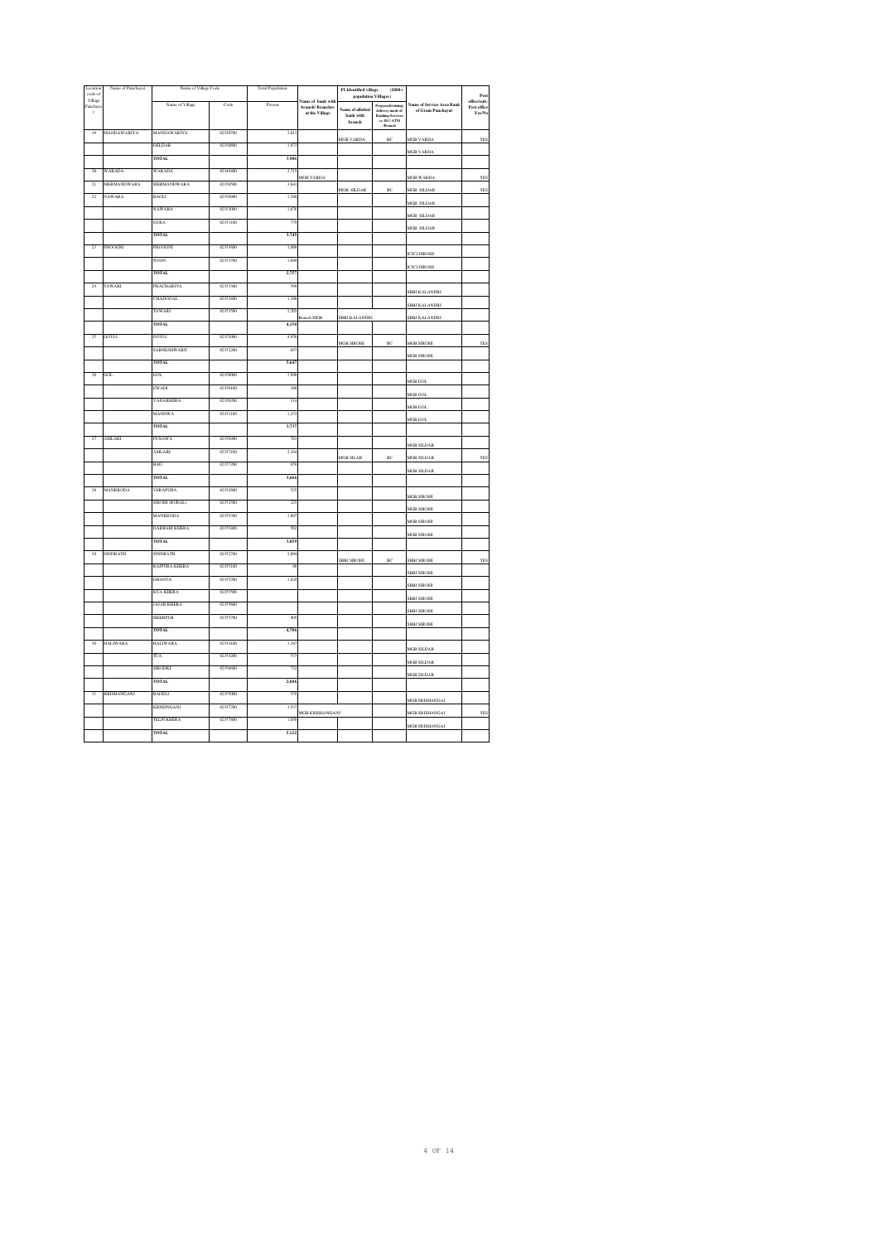| Location<br>code of        | Name of Panchayat | Name of Village Code |          | <b>Total Population</b>  |                                      | FI Identified village<br>population Villages)                | $(2000 +$                                           |                           | Post                      |
|----------------------------|-------------------|----------------------|----------|--------------------------|--------------------------------------|--------------------------------------------------------------|-----------------------------------------------------|---------------------------|---------------------------|
| Village<br>Panchay.        |                   | Name of Village      | Code     | Person                   | Name of bank with<br>branch/Branches |                                                              | Proposed/existing                                   | Name of Service Area Bank | office/sub<br>Post office |
| $\mathfrak{t}$             |                   |                      |          |                          | at the Village                       | Name of allotted<br>$\ensuremath{\mathsf{bank}}\xspace$ with | delivery mode of<br>Banking Services<br>i.e. BC/ATM | of Gram Panchayat         | Yes/No                    |
|                            |                   |                      |          |                          |                                      | branch                                                       | /Branch                                             |                           |                           |
| 19                         | MANDAWARIYA       | MANDAWARIYA          | 02350700 | 2,01                     |                                      | <b>MGB VARDA</b>                                             | BC                                                  | <b>MGB VARDA</b>          | YES                       |
|                            |                   | <b>DELDAR</b>        | 02350800 | 1.97                     |                                      |                                                              |                                                     | <b>MGB VARDA</b>          |                           |
|                            |                   | <b>TOTAL</b>         |          | 3,98                     |                                      |                                                              |                                                     |                           |                           |
| 20                         | WARADA            | WARADA               | 02349400 | 2.71                     | MGB VARDA                            |                                                              |                                                     | <b>MGB WARDA</b>          | <b>YES</b>                |
| $\overline{21}$            | MERMANDWARA       | <b>MERMANDWARA</b>   | 02356500 | 3,64                     |                                      | MGB SILDAR                                                   | BC                                                  | <b>MGB SILDAR</b>         | YES                       |
| $\boldsymbol{\mathcal{D}}$ | NAWARA            | <b>BAOLI</b>         | 02350900 | 1,29                     |                                      |                                                              |                                                     | <b>AGB SILDAR</b>         |                           |
|                            |                   | <b>NAWARA</b>        | 02351000 | 1,67                     |                                      |                                                              |                                                     |                           |                           |
|                            |                   | <b>GURA</b>          | 02351100 | $\overline{\mathcal{D}}$ |                                      |                                                              |                                                     | <b>MGB SILDAR</b>         |                           |
|                            |                   | TOTAL.               |          | 3.74                     |                                      |                                                              |                                                     | MGB SILDAR                |                           |
| $\overline{23}$            | PHOOGNI           | PHOOGNI              | 02353600 | 1.08                     |                                      |                                                              |                                                     |                           |                           |
|                            |                   | NOON                 | 02353700 | 1,66                     |                                      |                                                              |                                                     | <b>ICICI DIROHI</b>       |                           |
|                            |                   | <b>TOTAL</b>         |          | 2,757                    |                                      |                                                              |                                                     | <b>ICICI DIROHI</b>       |                           |
| 24                         | TAWARI            | PHACHARIYA           | 02353300 | 59                       |                                      |                                                              |                                                     |                           |                           |
|                            |                   | CHADOOAL             | 02353400 | 1,34                     |                                      |                                                              |                                                     | <b>SBBJ KALANDRI</b>      |                           |
|                            |                   |                      |          |                          |                                      |                                                              |                                                     | <b>SBBJ KALANDRI</b>      |                           |
|                            |                   | TAWARI               | 02353500 | 2.20                     | <b>Branch MGB</b>                    | SBBJ KALANDRI                                                |                                                     | SBBJ KALANDRI             |                           |
|                            |                   | <b>TOTAL</b>         |          | 4.150                    |                                      |                                                              |                                                     |                           |                           |
| $\overline{25}$            | GOYLI             | GOYLI                | 02352000 | 4,95                     |                                      | <b>MGB SIROHI</b>                                            | BC                                                  | MGB SIROHI                | YE                        |
|                            |                   | SARNESHWARJI         | 02352200 | 69                       |                                      |                                                              |                                                     | <b>AGB SIROHI</b>         |                           |
|                            |                   | <b>TOTAL</b>         |          | 5,64                     |                                      |                                                              |                                                     |                           |                           |
| 26                         | GOL               | <b>GOL</b>           | 02350000 | 1.99                     |                                      |                                                              |                                                     | <b>AGR GOL</b>            |                           |
|                            |                   | <b>EWADI</b>         | 02350100 | 38                       |                                      |                                                              |                                                     |                           |                           |
|                            |                   | VADAKHERA            | 02350200 | π                        |                                      |                                                              |                                                     | MGB GOL                   |                           |
|                            |                   | <b>ANDWA</b>         | 02352100 | 1,25                     |                                      |                                                              |                                                     | MGB GOL                   |                           |
|                            |                   | <b>TOTAL</b>         |          | 3,737                    |                                      |                                                              |                                                     | MGB GOL                   |                           |
| $\overline{\mathbf{z}}$    | <b>AMLARI</b>     | <b>PUNAWA</b>        | 02356900 | 76                       |                                      |                                                              |                                                     |                           |                           |
|                            |                   | <b>AMLARI</b>        | 02357100 | 2.24                     |                                      |                                                              |                                                     | <b>MGB SILDAR</b>         |                           |
|                            |                   | BAG                  | 02357200 | 69                       |                                      | MGB SILAR                                                    | BC                                                  | <b>MGB SILDAR</b>         | YE.                       |
|                            |                   |                      |          |                          |                                      |                                                              |                                                     | MGB SILDAR                |                           |
|                            |                   | <b>TOTAL</b>         |          | 3,66                     |                                      |                                                              |                                                     |                           |                           |
| $\rm 28$                   | MANKRODA          | VERAPURA             | 02352600 | 52                       |                                      |                                                              |                                                     | <b>AGB SIROHI</b>         |                           |
|                            |                   | SIROHI (RURAL)       | 02352500 | $\overline{\mathbf{r}}$  |                                      |                                                              |                                                     | <b>AGB SIROHI</b>         |                           |
|                            |                   | <b>MANKRODA</b>      | 02355300 | 1,80                     |                                      |                                                              |                                                     | <b>MGB SIROHI</b>         |                           |
|                            |                   | DARBARI KHERA        | 02355400 | 50                       |                                      |                                                              |                                                     | MGB SIROHI                |                           |
|                            |                   | <b>TOTAL</b>         |          | 3.059                    |                                      |                                                              |                                                     |                           |                           |
| 29                         | SINDRATH          | SINDRATH             | 02352700 | 208                      |                                      | <b>SBBJ SIROHI</b>                                           | BC                                                  | <b>SBBJ SIROHI</b>        | YES                       |
|                            |                   | RAJPURA KHERA        | 02355100 | Ś                        |                                      |                                                              |                                                     |                           |                           |
|                            |                   | DHANTA               | 02355200 | 1,62                     |                                      |                                                              |                                                     | <b>SBBJ SIROHI</b>        |                           |
|                            |                   | KUA KHERA            | 02355500 |                          |                                      |                                                              |                                                     | <b>SBBJ SIROHI</b>        |                           |
|                            |                   | <b>JAJAR KHERA</b>   | 02355600 |                          |                                      |                                                              |                                                     | <b>SBBJ SIROHI</b>        |                           |
|                            |                   | MEERPUR              | 02355700 | 90                       |                                      |                                                              |                                                     | <b>SBBJ SIROHI</b>        |                           |
|                            |                   | <b>TOTAL</b>         |          | 4,70                     |                                      |                                                              |                                                     | <b>SBBJ SIROHI</b>        |                           |
| 30                         | <b>HALIWARA</b>   | <b>HALIWARA</b>      | 02354100 | 1,34                     |                                      |                                                              |                                                     |                           |                           |
|                            |                   | TUA                  | 02354200 | 53                       |                                      |                                                              |                                                     | <b>MGB SILDAR</b>         |                           |
|                            |                   |                      |          |                          |                                      |                                                              |                                                     | <b>AGB SILDAR</b>         |                           |
|                            |                   | <b>SIRODKI</b>       | 02356600 | 72                       |                                      |                                                              |                                                     | <b>MGB SILDAR</b>         |                           |
|                            |                   | <b>TOTAL</b>         |          | 2,600                    |                                      |                                                              |                                                     |                           |                           |
| $\overline{31}$            | KRISHANGANJ       | <b>BADELI</b>        | 02355000 | 53                       |                                      |                                                              |                                                     | MGB SRISHANGAJ            |                           |
|                            |                   | KRISHNGANJ           | 02357700 | 3,53                     | <b>MGB KRISHANGANJ</b>               |                                                              |                                                     | MGB SRISHANGAJ            | YES                       |
|                            |                   | TELPI KHERA          | 02357800 | 1,05                     |                                      |                                                              |                                                     | <b>MGB SRISHANGAJ</b>     |                           |
|                            |                   | <b>TOTAL</b>         |          | 5,122                    |                                      |                                                              |                                                     |                           |                           |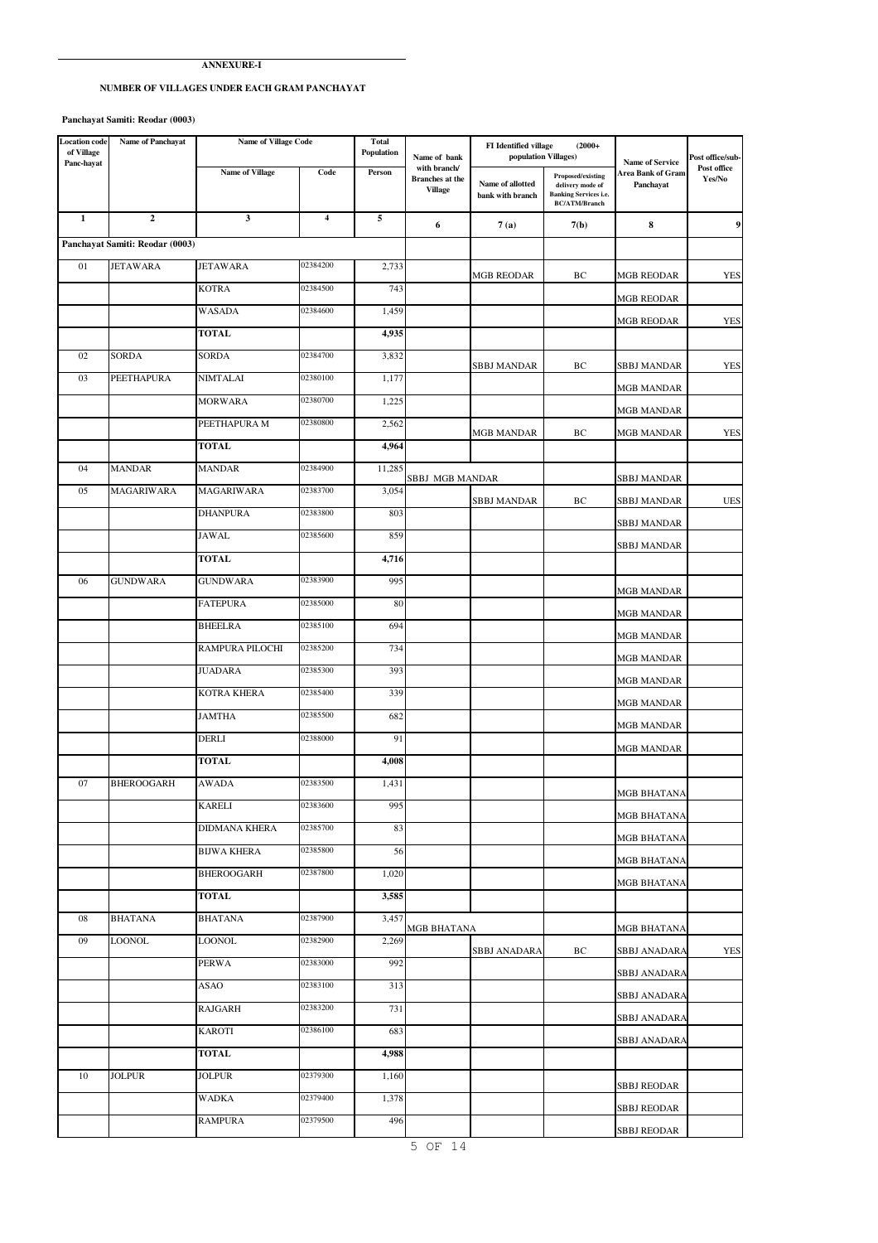### **ANNEXURE-I**

## **NUMBER OF VILLAGES UNDER EACH GRAM PANCHAYAT**

 **Panchayat Samiti: Reodar (0003)**

| <b>Location</b> code<br>of Village | Name of Panchayat               | <b>Name of Village Code</b> |                         | <b>Total</b><br>Population | Name of bank                                             | FI Identified village<br>$(2000 +$<br>population Villages) |                                                                                                      | <b>Name of Service</b>         | Post office/sub-      |
|------------------------------------|---------------------------------|-----------------------------|-------------------------|----------------------------|----------------------------------------------------------|------------------------------------------------------------|------------------------------------------------------------------------------------------------------|--------------------------------|-----------------------|
| Panc-hayat                         |                                 | Name of Village             | Code                    | Person                     | with branch/<br><b>Branches</b> at the<br><b>Village</b> | Name of allotted<br>bank with branch                       | <b>Proposed/existing</b><br>delivery mode of<br><b>Banking Services i.e.</b><br><b>BC/ATM/Branch</b> | Area Bank of Gram<br>Panchayat | Post office<br>Yes/No |
| $\mathbf{1}$                       | $\mathbf{2}$                    | $\mathbf{3}$                | $\overline{\mathbf{4}}$ | 5                          | 6                                                        | 7(a)                                                       | 7(b)                                                                                                 | 8                              | 9                     |
|                                    | Panchayat Samiti: Reodar (0003) |                             |                         |                            |                                                          |                                                            |                                                                                                      |                                |                       |
| 01                                 | <b>JETAWARA</b>                 | <b>JETAWARA</b>             | 02384200                | 2,733                      |                                                          | MGB REODAR                                                 | BC                                                                                                   | MGB REODAR                     | <b>YES</b>            |
|                                    |                                 | KOTRA                       | 02384500                | 743                        |                                                          |                                                            |                                                                                                      | <b>MGB REODAR</b>              |                       |
|                                    |                                 | WASADA                      | 02384600                | 1,459                      |                                                          |                                                            |                                                                                                      | MGB REODAR                     | <b>YES</b>            |
|                                    |                                 | <b>TOTAL</b>                |                         | 4,935                      |                                                          |                                                            |                                                                                                      |                                |                       |
| 02                                 | SORDA                           | SORDA                       | 02384700                | 3,832                      |                                                          | SBBJ MANDAR                                                | BC                                                                                                   | SBBJ MANDAR                    | <b>YES</b>            |
| 03                                 | PEETHAPURA                      | <b>NIMTALAI</b>             | 02380100                | 1,177                      |                                                          |                                                            |                                                                                                      | <b>MGB MANDAR</b>              |                       |
|                                    |                                 | <b>MORWARA</b>              | 02380700                | 1,225                      |                                                          |                                                            |                                                                                                      | MGB MANDAR                     |                       |
|                                    |                                 | PEETHAPURA M                | 02380800                | 2,562                      |                                                          | <b>MGB MANDAR</b>                                          | BC                                                                                                   | <b>MGB MANDAR</b>              | <b>YES</b>            |
|                                    |                                 | <b>TOTAL</b>                |                         | 4,964                      |                                                          |                                                            |                                                                                                      |                                |                       |
| 04                                 | <b>MANDAR</b>                   | <b>MANDAR</b>               | 02384900                | 11,285                     | SBBJ MGB MANDAR                                          |                                                            |                                                                                                      | <b>SBBJ MANDAR</b>             |                       |
| 05                                 | <b>MAGARIWARA</b>               | <b>MAGARIWARA</b>           | 02383700                | 3,054                      |                                                          | SBBJ MANDAR                                                | BC                                                                                                   | SBBJ MANDAR                    | <b>UES</b>            |
|                                    |                                 | <b>DHANPURA</b>             | 02383800                | 803                        |                                                          |                                                            |                                                                                                      | SBBJ MANDAR                    |                       |
|                                    |                                 | JAWAL                       | 02385600                | 859                        |                                                          |                                                            |                                                                                                      | SBBJ MANDAR                    |                       |
|                                    |                                 | TOTAL                       |                         | 4,716                      |                                                          |                                                            |                                                                                                      |                                |                       |
| 06                                 | <b>GUNDWARA</b>                 | <b>GUNDWARA</b>             | 02383900                | 995                        |                                                          |                                                            |                                                                                                      | <b>MGB MANDAR</b>              |                       |
|                                    |                                 | <b>FATEPURA</b>             | 02385000                | 80                         |                                                          |                                                            |                                                                                                      | MGB MANDAR                     |                       |
|                                    |                                 | <b>BHEELRA</b>              | 02385100                | 694                        |                                                          |                                                            |                                                                                                      | MGB MANDAR                     |                       |
|                                    |                                 | RAMPURA PILOCHI             | 02385200                | 734                        |                                                          |                                                            |                                                                                                      | MGB MANDAR                     |                       |
|                                    |                                 | JUADARA                     | 02385300                | 393                        |                                                          |                                                            |                                                                                                      | <b>MGB MANDAR</b>              |                       |
|                                    |                                 | KOTRA KHERA                 | 02385400                | 339                        |                                                          |                                                            |                                                                                                      | MGB MANDAR                     |                       |
|                                    |                                 | <b>JAMTHA</b>               | 02385500                | 682                        |                                                          |                                                            |                                                                                                      | <b>MGB MANDAR</b>              |                       |
|                                    |                                 | DERLI                       | 02388000                | 91                         |                                                          |                                                            |                                                                                                      | <b>MGB MANDAR</b>              |                       |
|                                    |                                 | <b>TOTAL</b>                |                         | 4,008                      |                                                          |                                                            |                                                                                                      |                                |                       |
| 07                                 | BHEROOGARH                      | AWADA                       | 02383500                | 1,431                      |                                                          |                                                            |                                                                                                      | MGB BHATANA                    |                       |
|                                    |                                 | <b>KARELI</b>               | 02383600                | 995                        |                                                          |                                                            |                                                                                                      | MGB BHATANA                    |                       |
|                                    |                                 | DIDMANA KHERA               | 02385700                | 83                         |                                                          |                                                            |                                                                                                      | <b>MGB BHATANA</b>             |                       |
|                                    |                                 | <b>BIJWA KHERA</b>          | 02385800                | 56                         |                                                          |                                                            |                                                                                                      | MGB BHATANA                    |                       |
|                                    |                                 | BHEROOGARH                  | 02387800                | 1,020                      |                                                          |                                                            |                                                                                                      | <b>MGB BHATANA</b>             |                       |
|                                    |                                 | TOTAL                       |                         | 3,585                      |                                                          |                                                            |                                                                                                      |                                |                       |
| 08                                 | <b>BHATANA</b>                  | <b>BHATANA</b>              | 02387900                | 3,457                      | MGB BHATANA                                              |                                                            |                                                                                                      | <b>MGB BHATANA</b>             |                       |
| 09                                 | LOONOL                          | LOONOL                      | 02382900                | 2,269                      |                                                          | SBBJ ANADARA                                               | ВC                                                                                                   | <b>SBBJ ANADARA</b>            | YES                   |
|                                    |                                 | <b>PERWA</b>                | 02383000                | 992                        |                                                          |                                                            |                                                                                                      | <b>SBBJ ANADARA</b>            |                       |
|                                    |                                 | ASAO                        | 02383100                | 313                        |                                                          |                                                            |                                                                                                      | SBBJ ANADARA                   |                       |
|                                    |                                 | <b>RAJGARH</b>              | 02383200                | 731                        |                                                          |                                                            |                                                                                                      | SBBJ ANADARA                   |                       |
|                                    |                                 | <b>KAROTI</b>               | 02386100                | 683                        |                                                          |                                                            |                                                                                                      | SBBJ ANADARA                   |                       |
|                                    |                                 | TOTAL                       |                         | 4,988                      |                                                          |                                                            |                                                                                                      |                                |                       |
| 10                                 | <b>JOLPUR</b>                   | JOLPUR                      | 02379300                | 1,160                      |                                                          |                                                            |                                                                                                      | SBBJ REODAR                    |                       |
|                                    |                                 | WADKA                       | 02379400                | 1,378                      |                                                          |                                                            |                                                                                                      | SBBJ REODAR                    |                       |
|                                    |                                 | RAMPURA                     | 02379500                | 496                        |                                                          |                                                            |                                                                                                      | <b>SBBJ REODAR</b>             |                       |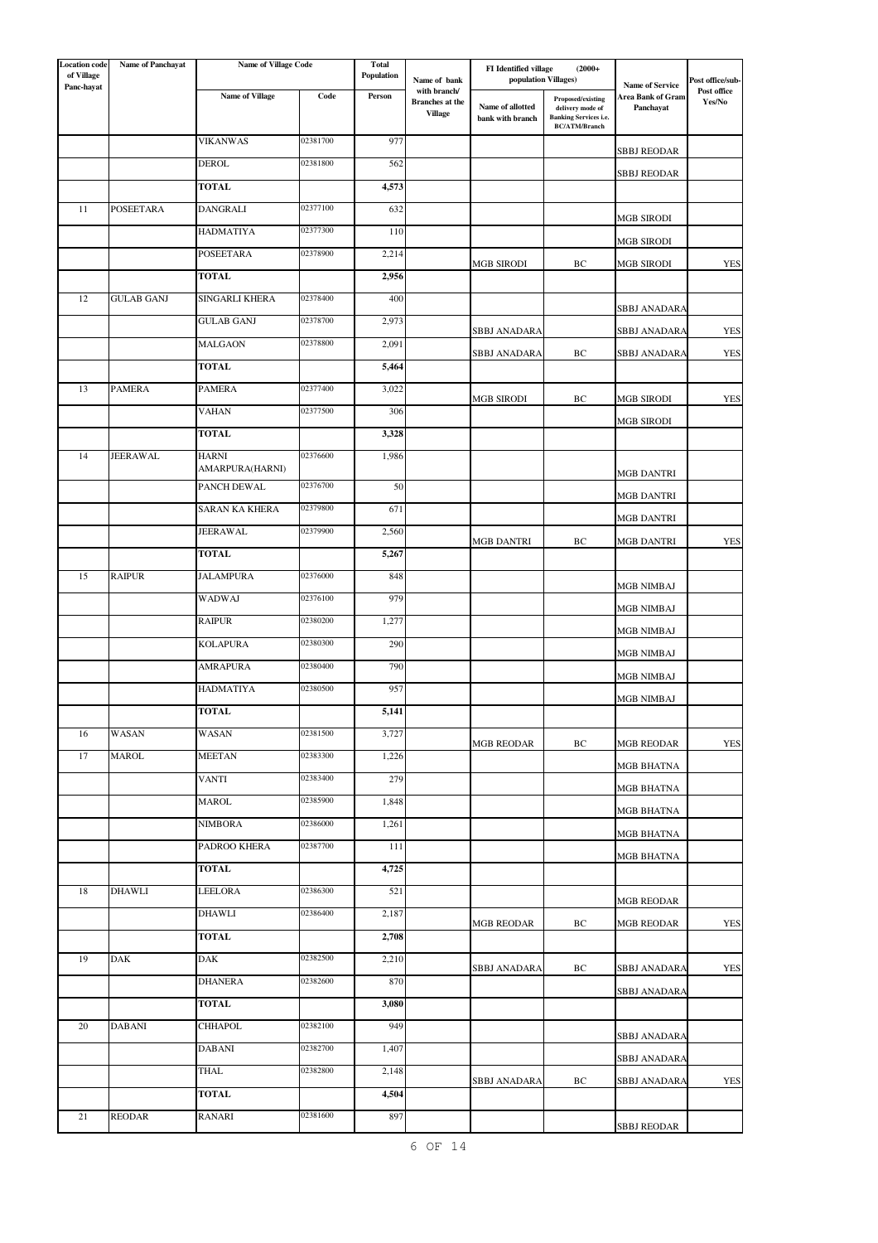| <b>Location</b> code<br>of Village | <b>Name of Panchayat</b> | <b>Name of Village Code</b>     |                      | <b>Total</b><br>Population | Name of bank                           | FI Identified village<br>population Villages) | $(2000 +$                                                                |                                             | Post office/sub-      |
|------------------------------------|--------------------------|---------------------------------|----------------------|----------------------------|----------------------------------------|-----------------------------------------------|--------------------------------------------------------------------------|---------------------------------------------|-----------------------|
| Panc-hayat                         |                          | Name of Village                 | $\mathbf{Code}$      | Person                     | with branch/<br><b>Branches</b> at the |                                               | Proposed/existing                                                        | <b>Name of Service</b><br>Area Bank of Gram | Post office<br>Yes/No |
|                                    |                          |                                 |                      |                            | <b>Village</b>                         | Name of allotted<br>bank with branch          | delivery mode of<br><b>Banking Services i.e.</b><br><b>BC/ATM/Branch</b> | Panchayat                                   |                       |
|                                    |                          | <b>VIKANWAS</b>                 | 02381700             | 977                        |                                        |                                               |                                                                          | <b>SBBJ REODAR</b>                          |                       |
|                                    |                          | DEROL                           | 02381800             | 562                        |                                        |                                               |                                                                          | SBBJ REODAR                                 |                       |
|                                    |                          | <b>TOTAL</b>                    |                      | 4,573                      |                                        |                                               |                                                                          |                                             |                       |
| 11                                 | <b>POSEETARA</b>         | DANGRALI                        | 02377100             | 632                        |                                        |                                               |                                                                          | MGB SIRODI                                  |                       |
|                                    |                          | HADMATIYA                       | 02377300             | 110                        |                                        |                                               |                                                                          | <b>MGB SIRODI</b>                           |                       |
|                                    |                          | POSEETARA                       | 02378900             | 2,214                      |                                        | <b>MGB SIRODI</b>                             | ВC                                                                       | MGB SIRODI                                  | <b>YES</b>            |
|                                    |                          | <b>TOTAL</b>                    |                      | 2,956                      |                                        |                                               |                                                                          |                                             |                       |
| 12                                 | <b>GULAB GANJ</b>        | SINGARLI KHERA                  | 02378400             | 400                        |                                        |                                               |                                                                          | SBBJ ANADARA                                |                       |
|                                    |                          | <b>GULAB GANJ</b>               | 02378700             | 2,973                      |                                        | SBBJ ANADARA                                  |                                                                          | SBBJ ANADARA                                | <b>YES</b>            |
|                                    |                          | MALGAON                         | 02378800             | 2,091                      |                                        | SBBJ ANADARA                                  | ВC                                                                       | SBBJ ANADARA                                | YES                   |
|                                    |                          | TOTAL                           |                      | 5,464                      |                                        |                                               |                                                                          |                                             |                       |
| 13                                 | <b>PAMERA</b>            | PAMERA                          | 02377400             | 3,022                      |                                        | <b>MGB SIRODI</b>                             | ВC                                                                       | <b>MGB SIRODI</b>                           | <b>YES</b>            |
|                                    |                          | <b>VAHAN</b>                    | 02377500             | 306                        |                                        |                                               |                                                                          | MGB SIRODI                                  |                       |
|                                    |                          | <b>TOTAL</b>                    |                      | 3,328                      |                                        |                                               |                                                                          |                                             |                       |
| 14                                 | <b>JEERAWAL</b>          | <b>HARNI</b><br>AMARPURA(HARNI) | 02376600             | 1,986                      |                                        |                                               |                                                                          | <b>MGB DANTRI</b>                           |                       |
|                                    |                          | PANCH DEWAL                     | 02376700             | 50                         |                                        |                                               |                                                                          | MGB DANTRI                                  |                       |
|                                    |                          | SARAN KA KHERA                  | 02379800             | 671                        |                                        |                                               |                                                                          | MGB DANTRI                                  |                       |
|                                    |                          | JEERAWAL                        | 02379900             | 2,560                      |                                        | <b>MGB DANTRI</b>                             | ВC                                                                       | MGB DANTRI                                  | <b>YES</b>            |
|                                    |                          | TOTAL                           |                      | 5,267                      |                                        |                                               |                                                                          |                                             |                       |
| 15                                 | <b>RAIPUR</b>            | <b>JALAMPURA</b>                | 02376000             | 848                        |                                        |                                               |                                                                          | <b>MGB NIMBAJ</b>                           |                       |
|                                    |                          | <b>WADWAJ</b>                   | 02376100             | 979                        |                                        |                                               |                                                                          | MGB NIMBAJ                                  |                       |
|                                    |                          | <b>RAIPUR</b>                   | 02380200             | 1,277                      |                                        |                                               |                                                                          | MGB NIMBAJ                                  |                       |
|                                    |                          | <b>KOLAPURA</b>                 | 02380300             | 290                        |                                        |                                               |                                                                          | MGB NIMBAJ                                  |                       |
|                                    |                          | <b>AMRAPURA</b>                 | 02380400             | 790                        |                                        |                                               |                                                                          | MGB NIMBAJ                                  |                       |
|                                    |                          | HADMATIYA                       | 02380500             | 957                        |                                        |                                               |                                                                          | MGB NIMBAJ                                  |                       |
|                                    |                          | <b>TOTAL</b>                    |                      | 5,141                      |                                        |                                               |                                                                          |                                             |                       |
| 16                                 | WASAN                    | WASAN                           | 02381500             | 3,727                      |                                        | <b>MGB REODAR</b>                             | ВC                                                                       | <b>MGB REODAR</b>                           | <b>YES</b>            |
| 17                                 | MAROL                    | <b>MEETAN</b>                   | 02383300             | 1,226                      |                                        |                                               |                                                                          | MGB BHATNA                                  |                       |
|                                    |                          | VANTI                           | 02383400             | 279                        |                                        |                                               |                                                                          | MGB BHATNA                                  |                       |
|                                    |                          | MAROL                           | 02385900             | 1,848                      |                                        |                                               |                                                                          | MGB BHATNA                                  |                       |
|                                    |                          | <b>NIMBORA</b>                  | 02386000<br>02387700 | 1,261                      |                                        |                                               |                                                                          | MGB BHATNA                                  |                       |
|                                    |                          | PADROO KHERA<br><b>TOTAL</b>    |                      | 111<br>4,725               |                                        |                                               |                                                                          | <b>MGB BHATNA</b>                           |                       |
| 18                                 | <b>DHAWLI</b>            | LEELORA                         | 02386300             | 521                        |                                        |                                               |                                                                          |                                             |                       |
|                                    |                          | DHAWLI                          | 02386400             | 2,187                      |                                        |                                               |                                                                          | MGB REODAR                                  |                       |
|                                    |                          | <b>TOTAL</b>                    |                      | 2,708                      |                                        | MGB REODAR                                    | ВC                                                                       | <b>MGB REODAR</b>                           | <b>YES</b>            |
| 19                                 | DAK                      | DAK                             | 02382500             | 2,210                      |                                        |                                               |                                                                          |                                             |                       |
|                                    |                          | DHANERA                         | 02382600             | 870                        |                                        | SBBJ ANADARA                                  | ВC                                                                       | SBBJ ANADARA                                | YES                   |
|                                    |                          | TOTAL                           |                      | 3,080                      |                                        |                                               |                                                                          | SBBJ ANADARA                                |                       |
| 20                                 | <b>DABANI</b>            | CHHAPOL                         | 02382100             | 949                        |                                        |                                               |                                                                          |                                             |                       |
|                                    |                          | DABANI                          | 02382700             | 1,407                      |                                        |                                               |                                                                          | <b>SBBJ ANADARA</b>                         |                       |
|                                    |                          | THAL                            | 02382800             | 2,148                      |                                        |                                               |                                                                          | SBBJ ANADARA                                |                       |
|                                    |                          | TOTAL                           |                      | 4,504                      |                                        | SBBJ ANADARA                                  | ВC                                                                       | <b>SBBJ ANADARA</b>                         | <b>YES</b>            |
| 21                                 | <b>REODAR</b>            | RANARI                          | 02381600             | 897                        |                                        |                                               |                                                                          |                                             |                       |
|                                    |                          |                                 |                      |                            |                                        |                                               |                                                                          | <b>SBBJ REODAR</b>                          |                       |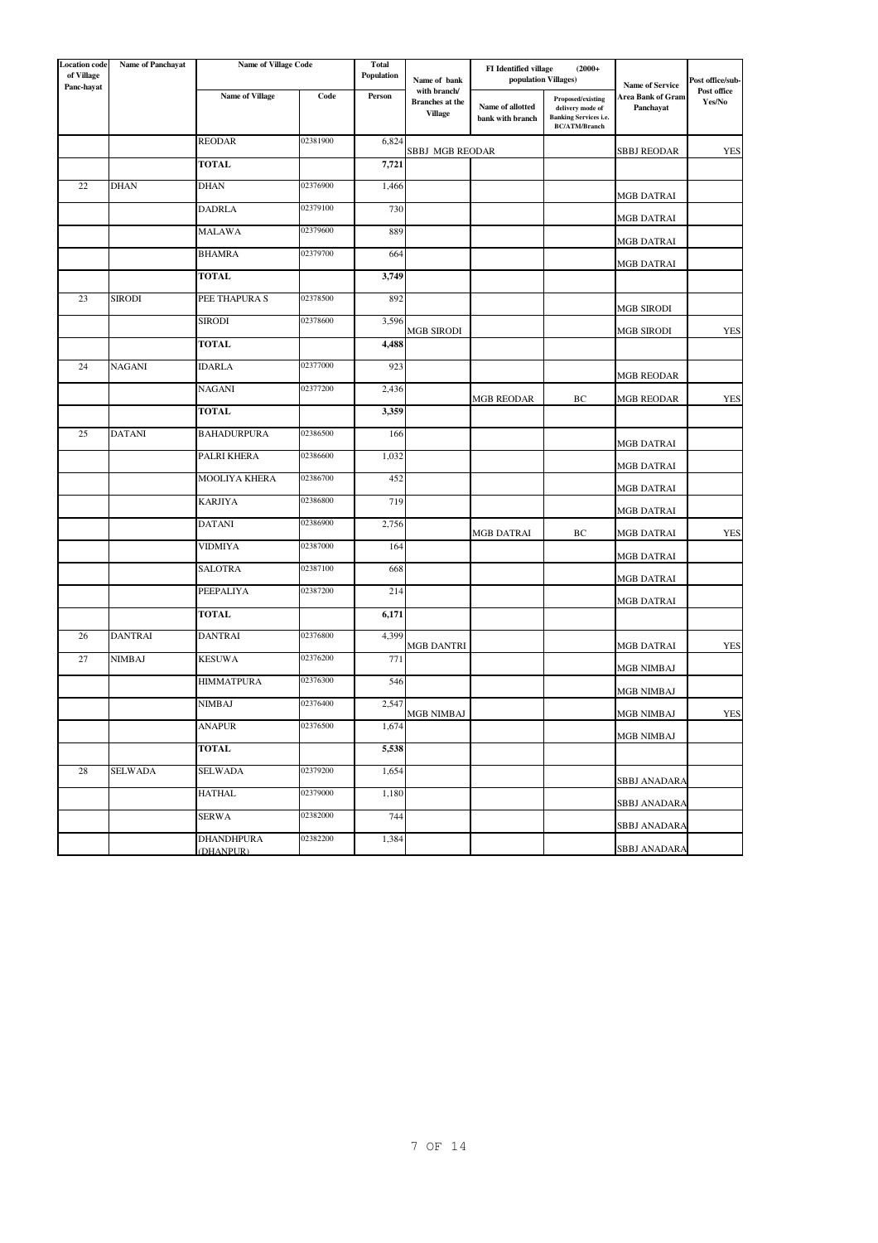| <b>Location</b> code<br>of Village<br>Panc-hayat | Name of Panchayat | <b>Name of Village Code</b> |          | Total<br>Population | Name of bank                                             | FI Identified village<br>$(2000 +$<br>population Villages) |                                                                                               | <b>Name of Service</b>         | Post office/sub-<br>Post office |
|--------------------------------------------------|-------------------|-----------------------------|----------|---------------------|----------------------------------------------------------|------------------------------------------------------------|-----------------------------------------------------------------------------------------------|--------------------------------|---------------------------------|
|                                                  |                   | <b>Name of Village</b>      | Code     | Person              | with branch/<br><b>Branches</b> at the<br><b>Village</b> | Name of allotted<br>bank with branch                       | Proposed/existing<br>delivery mode of<br><b>Banking Services i.e.</b><br><b>BC/ATM/Branch</b> | Area Bank of Gram<br>Panchayat | Yes/No                          |
|                                                  |                   | <b>REODAR</b>               | 02381900 | 6,824               | SBBJ MGB REODAR                                          |                                                            |                                                                                               | <b>SBBJ REODAR</b>             | <b>YES</b>                      |
|                                                  |                   | <b>TOTAL</b>                |          | 7,721               |                                                          |                                                            |                                                                                               |                                |                                 |
| 22                                               | <b>DHAN</b>       | <b>DHAN</b>                 | 02376900 | 1,466               |                                                          |                                                            |                                                                                               | MGB DATRAI                     |                                 |
|                                                  |                   | DADRLA                      | 02379100 | 730                 |                                                          |                                                            |                                                                                               | MGB DATRAI                     |                                 |
|                                                  |                   | <b>MALAWA</b>               | 02379600 | 889                 |                                                          |                                                            |                                                                                               | MGB DATRAI                     |                                 |
|                                                  |                   | <b>BHAMRA</b>               | 02379700 | 664                 |                                                          |                                                            |                                                                                               | MGB DATRAI                     |                                 |
|                                                  |                   | <b>TOTAL</b>                |          | 3,749               |                                                          |                                                            |                                                                                               |                                |                                 |
| 23                                               | <b>SIRODI</b>     | PEE THAPURA S               | 02378500 | 892                 |                                                          |                                                            |                                                                                               | <b>MGB SIRODI</b>              |                                 |
|                                                  |                   | <b>SIRODI</b>               | 02378600 | 3,596               | MGB SIRODI                                               |                                                            |                                                                                               | MGB SIRODI                     | <b>YES</b>                      |
|                                                  |                   | TOTAL                       |          | 4,488               |                                                          |                                                            |                                                                                               |                                |                                 |
| 24                                               | <b>NAGANI</b>     | <b>IDARLA</b>               | 02377000 | 923                 |                                                          |                                                            |                                                                                               | MGB REODAR                     |                                 |
|                                                  |                   | NAGANI                      | 02377200 | 2,436               |                                                          | <b>MGB REODAR</b>                                          | ВC                                                                                            | <b>MGB REODAR</b>              | <b>YES</b>                      |
|                                                  |                   | TOTAL                       |          | 3,359               |                                                          |                                                            |                                                                                               |                                |                                 |
| 25                                               | <b>DATANI</b>     | <b>BAHADURPURA</b>          | 02386500 | 166                 |                                                          |                                                            |                                                                                               | MGB DATRAI                     |                                 |
|                                                  |                   | PALRI KHERA                 | 02386600 | 1,032               |                                                          |                                                            |                                                                                               | MGB DATRAI                     |                                 |
|                                                  |                   | MOOLIYA KHERA               | 02386700 | 452                 |                                                          |                                                            |                                                                                               | MGB DATRAI                     |                                 |
|                                                  |                   | <b>KARJIYA</b>              | 02386800 | 719                 |                                                          |                                                            |                                                                                               | MGB DATRAI                     |                                 |
|                                                  |                   | <b>DATANI</b>               | 02386900 | 2,756               |                                                          | <b>MGB DATRAI</b>                                          | ВC                                                                                            | MGB DATRAI                     | <b>YES</b>                      |
|                                                  |                   | VIDMIYA                     | 02387000 | 164                 |                                                          |                                                            |                                                                                               | MGB DATRAI                     |                                 |
|                                                  |                   | <b>SALOTRA</b>              | 02387100 | 668                 |                                                          |                                                            |                                                                                               | MGB DATRAI                     |                                 |
|                                                  |                   | PEEPALIYA                   | 02387200 | 214                 |                                                          |                                                            |                                                                                               | MGB DATRAI                     |                                 |
|                                                  |                   | <b>TOTAL</b>                |          | 6,171               |                                                          |                                                            |                                                                                               |                                |                                 |
| 26                                               | <b>DANTRAI</b>    | DANTRAI                     | 02376800 | 4,399               | MGB DANTRI                                               |                                                            |                                                                                               | MGB DATRAI                     | <b>YES</b>                      |
| $27\,$                                           | <b>NIMBAJ</b>     | <b>KESUWA</b>               | 02376200 | 771                 |                                                          |                                                            |                                                                                               | MGB NIMBAJ                     |                                 |
|                                                  |                   | HIMMATPURA                  | 02376300 | 546                 |                                                          |                                                            |                                                                                               | MGB NIMBAJ                     |                                 |
|                                                  |                   | NIMBAJ                      | 02376400 | 2,547               | MGB NIMBAJ                                               |                                                            |                                                                                               | MGB NIMBAJ                     | <b>YES</b>                      |
|                                                  |                   | <b>ANAPUR</b>               | 02376500 | 1,674               |                                                          |                                                            |                                                                                               | MGB NIMBAJ                     |                                 |
|                                                  |                   | <b>TOTAL</b>                |          | 5,538               |                                                          |                                                            |                                                                                               |                                |                                 |
| 28                                               | <b>SELWADA</b>    | <b>SELWADA</b>              | 02379200 | 1,654               |                                                          |                                                            |                                                                                               | <b>SBBJ ANADARA</b>            |                                 |
|                                                  |                   | HATHAL                      | 02379000 | 1,180               |                                                          |                                                            |                                                                                               | SBBJ ANADARA                   |                                 |
|                                                  |                   | <b>SERWA</b>                | 02382000 | 744                 |                                                          |                                                            |                                                                                               | <b>SBBJ ANADARA</b>            |                                 |
|                                                  |                   | <b>DHANDHPURA</b>           | 02382200 | 1,384               |                                                          |                                                            |                                                                                               | <b>SBBJ ANADARA</b>            |                                 |
|                                                  |                   | (DHANPUR)                   |          |                     |                                                          |                                                            |                                                                                               |                                |                                 |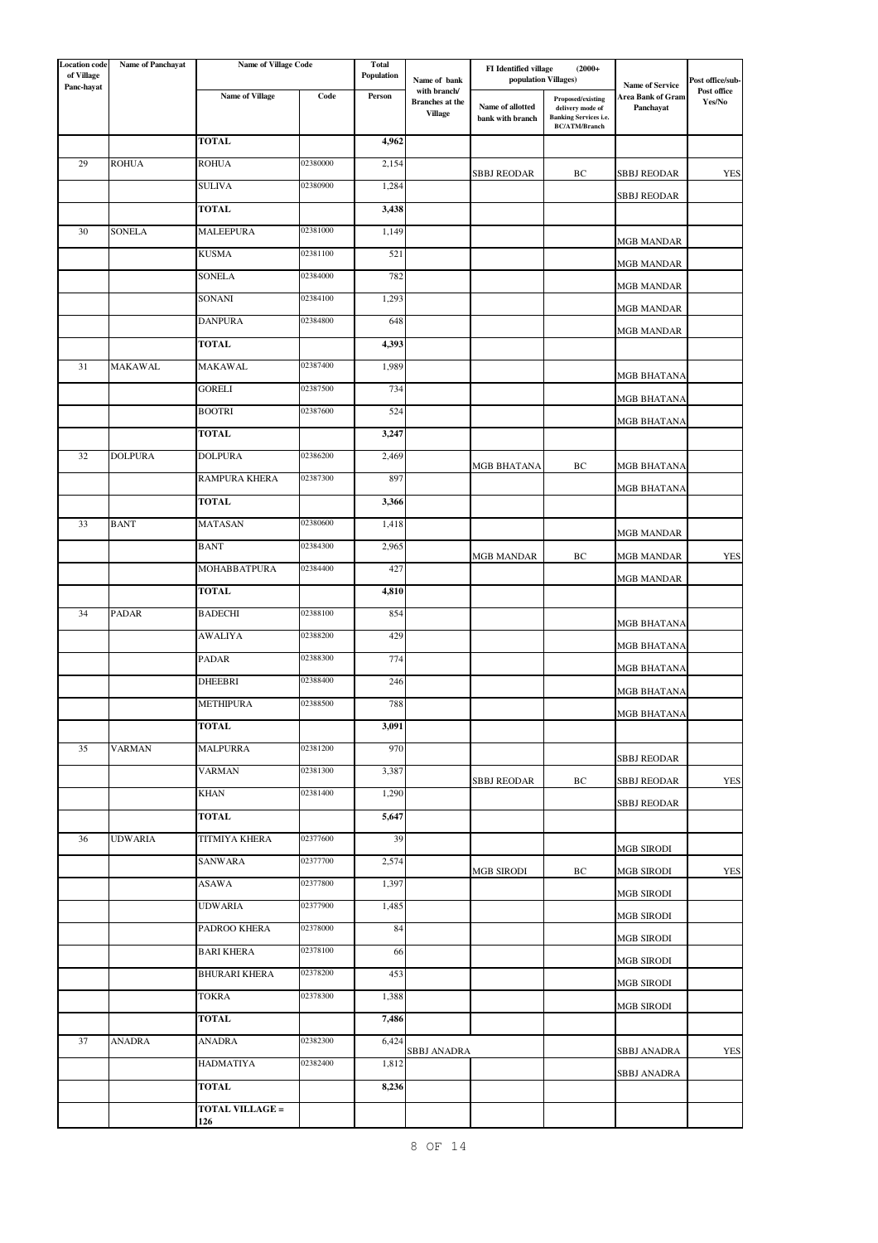| <b>Location</b> code<br>of Village | <b>Name of Panchayat</b> | <b>Name of Village Code</b>   |          | Total<br>Population |                                          | FI Identified village                | $(2000 +$                                                             |                                             |                                 |
|------------------------------------|--------------------------|-------------------------------|----------|---------------------|------------------------------------------|--------------------------------------|-----------------------------------------------------------------------|---------------------------------------------|---------------------------------|
| Panc-hayat                         |                          | <b>Name of Village</b>        | Code     | Person              | Name of bank<br>with branch/             | population Villages)                 |                                                                       | <b>Name of Service</b><br>Area Bank of Gram | Post office/sub-<br>Post office |
|                                    |                          |                               |          |                     | <b>Branches</b> at the<br><b>Village</b> | Name of allotted<br>bank with branch | Proposed/existing<br>delivery mode of<br><b>Banking Services i.e.</b> | Panchayat                                   | Yes/No                          |
|                                    |                          | <b>TOTAL</b>                  |          |                     |                                          |                                      | <b>BC/ATM/Branch</b>                                                  |                                             |                                 |
|                                    |                          |                               | 02380000 | 4,962               |                                          |                                      |                                                                       |                                             |                                 |
| 29                                 | <b>ROHUA</b>             | <b>ROHUA</b>                  |          | 2,154               |                                          | SBBJ REODAR                          | ВC                                                                    | SBBJ REODAR                                 | YES                             |
|                                    |                          | <b>SULIVA</b>                 | 02380900 | 1,284               |                                          |                                      |                                                                       | <b>SBBJ REODAR</b>                          |                                 |
|                                    |                          | TOTAL                         |          | 3,438               |                                          |                                      |                                                                       |                                             |                                 |
| 30                                 | <b>SONELA</b>            | <b>MALEEPURA</b>              | 02381000 | 1,149               |                                          |                                      |                                                                       | <b>MGB MANDAR</b>                           |                                 |
|                                    |                          | KUSMA                         | 02381100 | 521                 |                                          |                                      |                                                                       | <b>MGB MANDAR</b>                           |                                 |
|                                    |                          | <b>SONELA</b>                 | 02384000 | 782                 |                                          |                                      |                                                                       | <b>MGB MANDAR</b>                           |                                 |
|                                    |                          | SONANI                        | 02384100 | 1,293               |                                          |                                      |                                                                       | MGB MANDAR                                  |                                 |
|                                    |                          | <b>DANPURA</b>                | 02384800 | 648                 |                                          |                                      |                                                                       | MGB MANDAR                                  |                                 |
|                                    |                          | TOTAL                         |          | 4,393               |                                          |                                      |                                                                       |                                             |                                 |
| 31                                 | <b>MAKAWAL</b>           | MAKAWAL                       | 02387400 | 1,989               |                                          |                                      |                                                                       | MGB BHATANA                                 |                                 |
|                                    |                          | GORELI                        | 02387500 | 734                 |                                          |                                      |                                                                       | <b>MGB BHATANA</b>                          |                                 |
|                                    |                          | <b>BOOTRI</b>                 | 02387600 | 524                 |                                          |                                      |                                                                       | MGB BHATANA                                 |                                 |
|                                    |                          | <b>TOTAL</b>                  |          | 3,247               |                                          |                                      |                                                                       |                                             |                                 |
| 32                                 | <b>DOLPURA</b>           | <b>DOLPURA</b>                | 02386200 | 2,469               |                                          | MGB BHATANA                          | ВC                                                                    | MGB BHATANA                                 |                                 |
|                                    |                          | RAMPURA KHERA                 | 02387300 | 897                 |                                          |                                      |                                                                       | MGB BHATANA                                 |                                 |
|                                    |                          | TOTAL                         |          | 3,366               |                                          |                                      |                                                                       |                                             |                                 |
| 33                                 | <b>BANT</b>              | <b>MATASAN</b>                | 02380600 | 1,418               |                                          |                                      |                                                                       | <b>MGB MANDAR</b>                           |                                 |
|                                    |                          | <b>BANT</b>                   | 02384300 | 2,965               |                                          | MGB MANDAR                           | ВC                                                                    | <b>MGB MANDAR</b>                           | <b>YES</b>                      |
|                                    |                          | MOHABBATPURA                  | 02384400 | 427                 |                                          |                                      |                                                                       | MGB MANDAR                                  |                                 |
|                                    |                          | <b>TOTAL</b>                  |          | 4,810               |                                          |                                      |                                                                       |                                             |                                 |
| 34                                 | <b>PADAR</b>             | <b>BADECHI</b>                | 02388100 | 854                 |                                          |                                      |                                                                       | MGB BHATANA                                 |                                 |
|                                    |                          | <b>AWALIYA</b>                | 02388200 | 429                 |                                          |                                      |                                                                       | MGB BHATANA                                 |                                 |
|                                    |                          | PADAR                         | 02388300 | 774                 |                                          |                                      |                                                                       | <b>MGB BHATANA</b>                          |                                 |
|                                    |                          | DHEEBRI                       | 02388400 | 246                 |                                          |                                      |                                                                       | MGB BHATANA                                 |                                 |
|                                    |                          | <b>METHIPURA</b>              | 02388500 | 788                 |                                          |                                      |                                                                       | <b>MGB BHATANA</b>                          |                                 |
|                                    |                          | <b>TOTAL</b>                  |          | 3,091               |                                          |                                      |                                                                       |                                             |                                 |
| 35                                 | <b>VARMAN</b>            | <b>MALPURRA</b>               | 02381200 | 970                 |                                          |                                      |                                                                       | <b>SBBJ REODAR</b>                          |                                 |
|                                    |                          | <b>VARMAN</b>                 | 02381300 | 3,387               |                                          | <b>SBBJ REODAR</b>                   | ВC                                                                    | <b>SBBJ REODAR</b>                          | <b>YES</b>                      |
|                                    |                          | KHAN                          | 02381400 | 1,290               |                                          |                                      |                                                                       | SBBJ REODAR                                 |                                 |
|                                    |                          | TOTAL                         |          | 5,647               |                                          |                                      |                                                                       |                                             |                                 |
| 36                                 | <b>UDWARIA</b>           | TITMIYA KHERA                 | 02377600 | 39                  |                                          |                                      |                                                                       | <b>MGB SIRODI</b>                           |                                 |
|                                    |                          | <b>SANWARA</b>                | 02377700 | 2,574               |                                          | <b>MGB SIRODI</b>                    | ВC                                                                    | <b>MGB SIRODI</b>                           | YES                             |
|                                    |                          | ASAWA                         | 02377800 | 1,397               |                                          |                                      |                                                                       | MGB SIRODI                                  |                                 |
|                                    |                          | UDWARIA                       | 02377900 | 1,485               |                                          |                                      |                                                                       | MGB SIRODI                                  |                                 |
|                                    |                          | PADROO KHERA                  | 02378000 | 84                  |                                          |                                      |                                                                       | MGB SIRODI                                  |                                 |
|                                    |                          | <b>BARI KHERA</b>             | 02378100 | 66                  |                                          |                                      |                                                                       | MGB SIRODI                                  |                                 |
|                                    |                          | BHURARI KHERA                 | 02378200 | 453                 |                                          |                                      |                                                                       | <b>MGB SIRODI</b>                           |                                 |
|                                    |                          | <b>TOKRA</b>                  | 02378300 | 1,388               |                                          |                                      |                                                                       | MGB SIRODI                                  |                                 |
|                                    |                          | TOTAL                         |          | 7,486               |                                          |                                      |                                                                       |                                             |                                 |
| 37                                 | <b>ANADRA</b>            | ANADRA                        | 02382300 | 6,424               | SBBJ ANADRA                              |                                      |                                                                       | SBBJ ANADRA                                 | <b>YES</b>                      |
|                                    |                          | HADMATIYA                     | 02382400 | 1,812               |                                          |                                      |                                                                       | <b>SBBJ ANADRA</b>                          |                                 |
|                                    |                          | TOTAL                         |          | 8,236               |                                          |                                      |                                                                       |                                             |                                 |
|                                    |                          | <b>TOTAL VILLAGE =</b><br>126 |          |                     |                                          |                                      |                                                                       |                                             |                                 |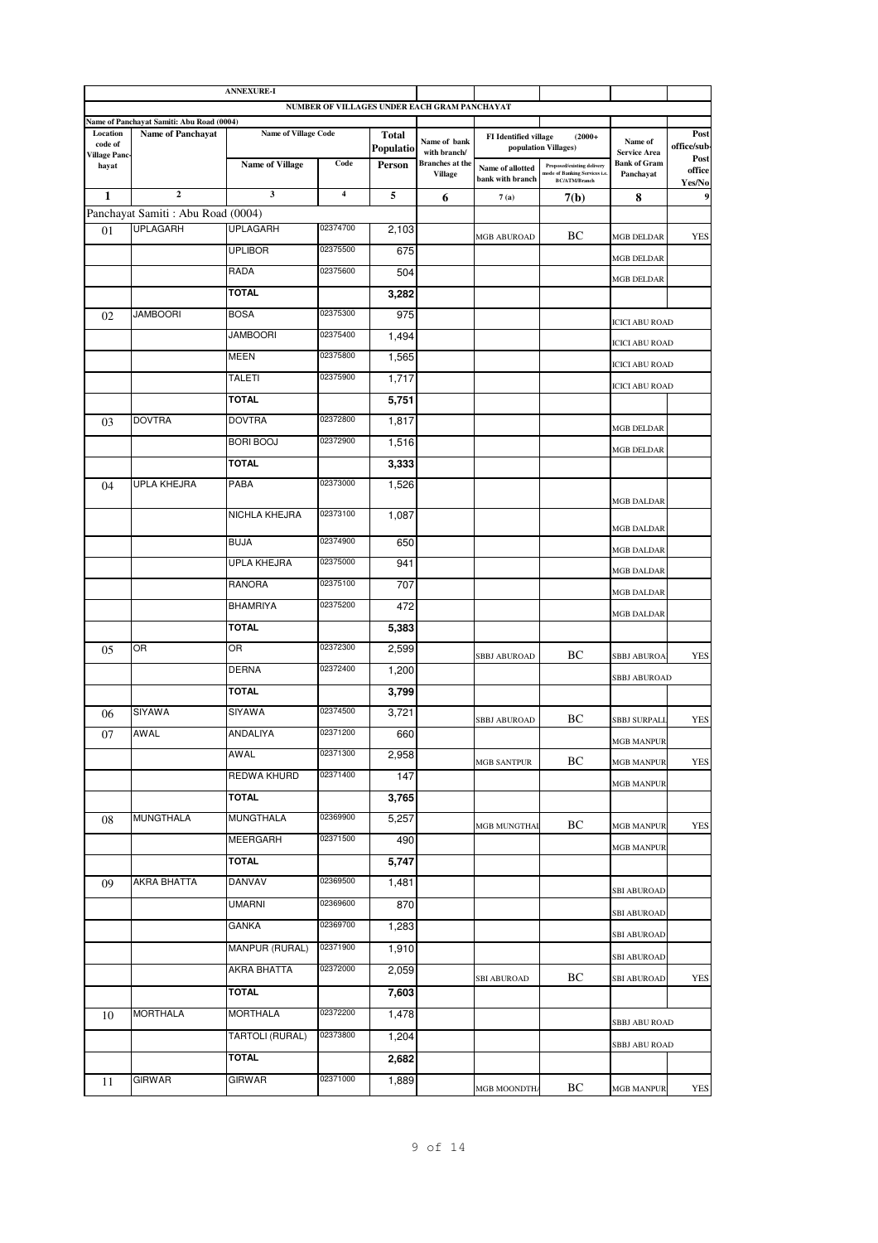|                                 |                                                                       | <b>ANNEXURE-I</b>           |          |              |                                              |                                      |                                                                                     |                                  |                     |
|---------------------------------|-----------------------------------------------------------------------|-----------------------------|----------|--------------|----------------------------------------------|--------------------------------------|-------------------------------------------------------------------------------------|----------------------------------|---------------------|
|                                 |                                                                       |                             |          |              | NUMBER OF VILLAGES UNDER EACH GRAM PANCHAYAT |                                      |                                                                                     |                                  |                     |
| Location                        | Name of Panchayat Samiti: Abu Road (0004)<br><b>Name of Panchayat</b> | <b>Name of Village Code</b> |          | <b>Total</b> |                                              | <b>FI</b> Identified village         | $(2000+$                                                                            |                                  | Post                |
| code of<br><b>Village Panc-</b> |                                                                       |                             |          | Populatio    | Name of bank<br>with branch/                 |                                      | population Villages)                                                                | Name of<br><b>Service Area</b>   | office/sub-<br>Post |
| hayat                           |                                                                       | <b>Name of Village</b>      | Code     | Person       | <b>Branches</b> at the<br><b>Village</b>     | Name of allotted<br>bank with branch | Proposed/existing delivery<br>node of Banking Services i.e.<br><b>BC/ATM/Branch</b> | <b>Bank of Gram</b><br>Panchayat | office<br>Yes/No    |
| $\mathbf{1}$                    | $\overline{2}$                                                        | 3                           | 4        | 5            | 6                                            | 7(a)                                 | 7(b)                                                                                | 8                                | 9                   |
|                                 | Panchayat Samiti: Abu Road (0004)<br><b>UPLAGARH</b>                  |                             | 02374700 |              |                                              |                                      |                                                                                     |                                  |                     |
| 01                              |                                                                       | <b>UPLAGARH</b>             |          | 2,103        |                                              | MGB ABUROAD                          | ВC                                                                                  | MGB DELDAR                       | YES                 |
|                                 |                                                                       | <b>UPLIBOR</b>              | 02375500 | 675          |                                              |                                      |                                                                                     | MGB DELDAR                       |                     |
|                                 |                                                                       | RADA                        | 02375600 | 504          |                                              |                                      |                                                                                     | <b>MGB DELDAR</b>                |                     |
|                                 |                                                                       | <b>TOTAL</b>                |          | 3,282        |                                              |                                      |                                                                                     |                                  |                     |
| 02                              | <b>JAMBOORI</b>                                                       | <b>BOSA</b>                 | 02375300 | 975          |                                              |                                      |                                                                                     | ICICI ABU ROAD                   |                     |
|                                 |                                                                       | <b>JAMBOORI</b>             | 02375400 | 1,494        |                                              |                                      |                                                                                     | <b>ICICI ABU ROAD</b>            |                     |
|                                 |                                                                       | MEEN                        | 02375800 | 1,565        |                                              |                                      |                                                                                     | <b>ICICI ABU ROAD</b>            |                     |
|                                 |                                                                       | TALETI                      | 02375900 | 1,717        |                                              |                                      |                                                                                     | <b>ICICI ABU ROAD</b>            |                     |
|                                 |                                                                       | <b>TOTAL</b>                |          | 5,751        |                                              |                                      |                                                                                     |                                  |                     |
| 03                              | <b>DOVTRA</b>                                                         | <b>DOVTRA</b>               | 02372800 | 1,817        |                                              |                                      |                                                                                     | MGB DELDAR                       |                     |
|                                 |                                                                       | <b>BORI BOOJ</b>            | 02372900 | 1,516        |                                              |                                      |                                                                                     | MGB DELDAR                       |                     |
|                                 |                                                                       | <b>TOTAL</b>                |          | 3,333        |                                              |                                      |                                                                                     |                                  |                     |
| 04                              | UPLA KHEJRA                                                           | PABA                        | 02373000 | 1,526        |                                              |                                      |                                                                                     |                                  |                     |
|                                 |                                                                       | NICHLA KHEJRA               | 02373100 | 1,087        |                                              |                                      |                                                                                     | <b>MGB DALDAR</b>                |                     |
|                                 |                                                                       |                             |          |              |                                              |                                      |                                                                                     | <b>MGB DALDAR</b>                |                     |
|                                 |                                                                       | <b>BUJA</b>                 | 02374900 | 650          |                                              |                                      |                                                                                     | <b>MGB DALDAR</b>                |                     |
|                                 |                                                                       | UPLA KHEJRA                 | 02375000 | 941          |                                              |                                      |                                                                                     | MGB DALDAR                       |                     |
|                                 |                                                                       | RANORA                      | 02375100 | 707          |                                              |                                      |                                                                                     | <b>MGB DALDAR</b>                |                     |
|                                 |                                                                       | <b>BHAMRIYA</b>             | 02375200 | 472          |                                              |                                      |                                                                                     | MGB DALDAR                       |                     |
|                                 |                                                                       | TOTAL                       |          | 5,383        |                                              |                                      |                                                                                     |                                  |                     |
| 05                              | OR                                                                    | OR                          | 02372300 | 2,599        |                                              | <b>SBBJ ABUROAD</b>                  | ВC                                                                                  | SBBJ ABUROA                      | <b>YES</b>          |
|                                 |                                                                       | DERNA                       | 02372400 | 1,200        |                                              |                                      |                                                                                     | <b>SBBJ ABUROAD</b>              |                     |
|                                 |                                                                       | <b>TOTAL</b>                |          | 3,799        |                                              |                                      |                                                                                     |                                  |                     |
| 06                              | SIYAWA                                                                | SIYAWA                      | 02374500 | 3,721        |                                              |                                      | ВC                                                                                  |                                  |                     |
| 07                              | <b>AWAL</b>                                                           | <b>ANDALIYA</b>             | 02371200 | 660          |                                              | <b>SBBJ ABUROAD</b>                  |                                                                                     | SBBJ SURPALI                     | YES                 |
|                                 |                                                                       | AWAL                        | 02371300 | 2,958        |                                              |                                      |                                                                                     | <b>MGB MANPUR</b>                |                     |
|                                 |                                                                       | REDWA KHURD                 | 02371400 | 147          |                                              | <b>MGB SANTPUR</b>                   | BС                                                                                  | <b>MGB MANPUR</b>                | YES                 |
|                                 |                                                                       | <b>TOTAL</b>                |          | 3,765        |                                              |                                      |                                                                                     | MGB MANPUR                       |                     |
| 08                              | <b>MUNGTHALA</b>                                                      | MUNGTHALA                   | 02369900 | 5,257        |                                              |                                      |                                                                                     |                                  |                     |
|                                 |                                                                       | MEERGARH                    | 02371500 | 490          |                                              | <b>MGB MUNGTHAI</b>                  | BС                                                                                  | <b>MGB MANPUR</b>                | YES                 |
|                                 |                                                                       |                             |          |              |                                              |                                      |                                                                                     | <b>MGB MANPUR</b>                |                     |
|                                 |                                                                       | TOTAL                       | 02369500 | 5,747        |                                              |                                      |                                                                                     |                                  |                     |
| 09                              | AKRA BHATTA                                                           | DANVAV                      |          | 1,481        |                                              |                                      |                                                                                     | <b>SBI ABUROAD</b>               |                     |
|                                 |                                                                       | UMARNI                      | 02369600 | 870          |                                              |                                      |                                                                                     | <b>SBI ABUROAD</b>               |                     |
|                                 |                                                                       | GANKA                       | 02369700 | 1,283        |                                              |                                      |                                                                                     | <b>SBI ABUROAD</b>               |                     |
|                                 |                                                                       | MANPUR (RURAL)              | 02371900 | 1,910        |                                              |                                      |                                                                                     | SBI ABUROAD                      |                     |
|                                 |                                                                       | AKRA BHATTA                 | 02372000 | 2,059        |                                              | SBI ABUROAD                          | BС                                                                                  | SBI ABUROAD                      | YES                 |
|                                 |                                                                       | TOTAL                       |          | 7,603        |                                              |                                      |                                                                                     |                                  |                     |
| 10                              | <b>MORTHALA</b>                                                       | MORTHALA                    | 02372200 | 1,478        |                                              |                                      |                                                                                     | SBBJ ABU ROAD                    |                     |
|                                 |                                                                       | TARTOLI (RURAL)             | 02373800 | 1,204        |                                              |                                      |                                                                                     |                                  |                     |
|                                 |                                                                       | TOTAL                       |          | 2,682        |                                              |                                      |                                                                                     | SBBJ ABU ROAD                    |                     |
| 11                              | GIRWAR                                                                | GIRWAR                      | 02371000 | 1,889        |                                              |                                      |                                                                                     |                                  |                     |
|                                 |                                                                       |                             |          |              |                                              | MGB MOONDTHA                         | BС                                                                                  | MGB MANPUR                       | YES                 |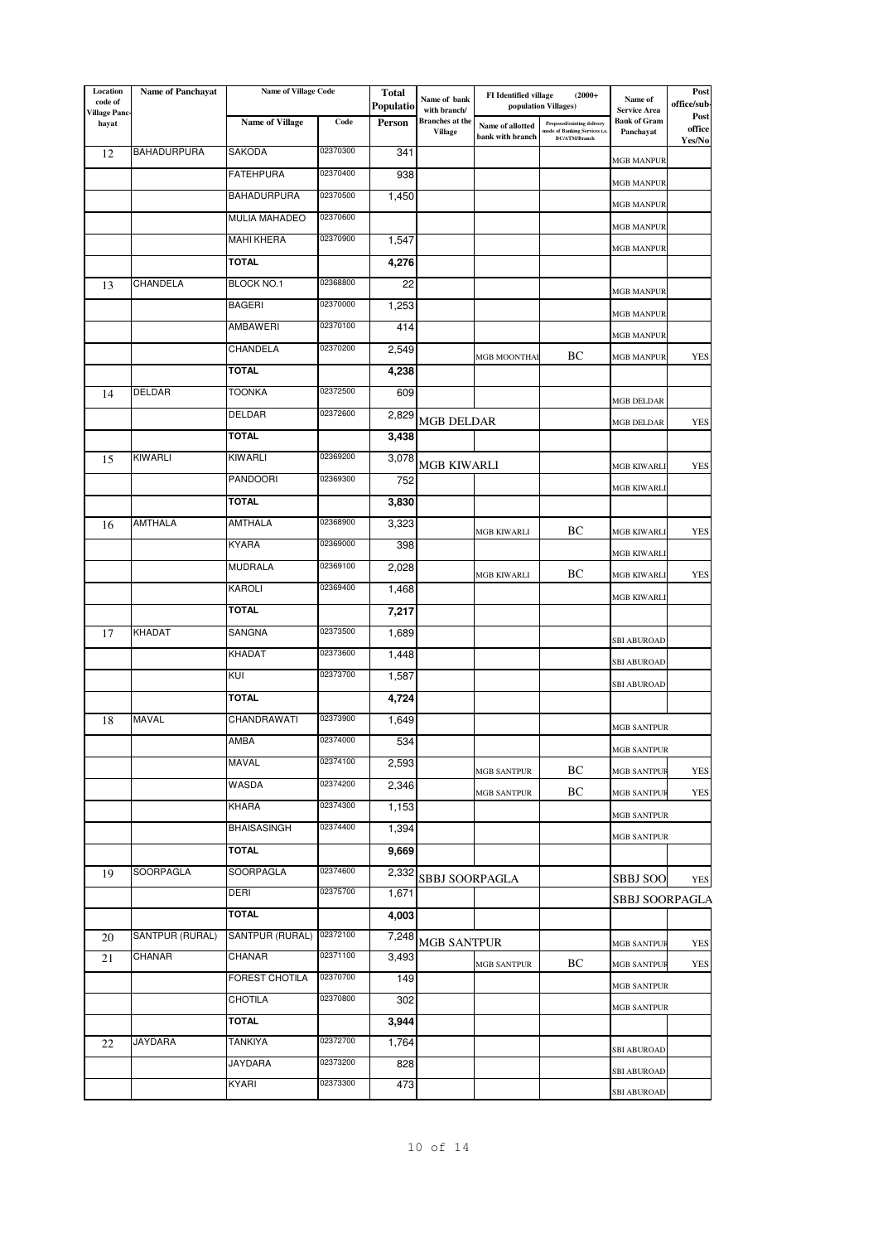| Location<br>code of    | <b>Name of Panchayat</b> | <b>Name of Village Code</b> |          | <b>Total</b><br>Populatio | Name of bank<br>with branch/             | <b>FI</b> Identified village         | $(2000+$<br>population Villages)                                            | Name of<br><b>Service Area</b>   | Post<br>office/sub-      |
|------------------------|--------------------------|-----------------------------|----------|---------------------------|------------------------------------------|--------------------------------------|-----------------------------------------------------------------------------|----------------------------------|--------------------------|
| Village Panc-<br>hayat |                          | Name of Village             | Code     | Person                    | <b>Branches</b> at the<br><b>Village</b> | Name of allotted<br>bank with branch | Proposed/existing delivery<br>node of Banking Services i.e<br>BC/ATM/Branch | <b>Bank of Gram</b><br>Panchayat | Post<br>office<br>Yes/No |
| 12                     | <b>BAHADURPURA</b>       | SAKODA                      | 02370300 | 341                       |                                          |                                      |                                                                             | <b>MGB MANPUR</b>                |                          |
|                        |                          | <b>FATEHPURA</b>            | 02370400 | 938                       |                                          |                                      |                                                                             | <b>MGB MANPUR</b>                |                          |
|                        |                          | BAHADURPURA                 | 02370500 | 1,450                     |                                          |                                      |                                                                             | MGB MANPUR                       |                          |
|                        |                          | MULIA MAHADEO               | 02370600 |                           |                                          |                                      |                                                                             | MGB MANPUR                       |                          |
|                        |                          | <b>MAHI KHERA</b>           | 02370900 | 1,547                     |                                          |                                      |                                                                             | MGB MANPUR                       |                          |
|                        |                          | <b>TOTAL</b>                |          | 4,276                     |                                          |                                      |                                                                             |                                  |                          |
| 13                     | CHANDELA                 | <b>BLOCK NO.1</b>           | 02368800 | 22                        |                                          |                                      |                                                                             | <b>MGB MANPUR</b>                |                          |
|                        |                          | <b>BAGERI</b>               | 02370000 | 1,253                     |                                          |                                      |                                                                             | MGB MANPUR                       |                          |
|                        |                          | AMBAWERI                    | 02370100 | 414                       |                                          |                                      |                                                                             | MGB MANPUR                       |                          |
|                        |                          | CHANDELA                    | 02370200 | 2,549                     |                                          | MGB MOONTHA                          | ВC                                                                          | MGB MANPUR                       | <b>YES</b>               |
|                        |                          | TOTAL.                      |          | 4,238                     |                                          |                                      |                                                                             |                                  |                          |
| 14                     | DELDAR                   | <b>TOONKA</b>               | 02372500 | 609                       |                                          |                                      |                                                                             | MGB DELDAR                       |                          |
|                        |                          | DELDAR                      | 02372600 | 2,829                     | <b>MGB DELDAR</b>                        |                                      |                                                                             | MGB DELDAR                       | <b>YES</b>               |
|                        |                          | TOTAL.                      |          | 3,438                     |                                          |                                      |                                                                             |                                  |                          |
| 15                     | <b>KIWARLI</b>           | KIWARLI                     | 02369200 | 3,078                     | <b>MGB KIWARLI</b>                       |                                      |                                                                             | MGB KIWARL                       | <b>YES</b>               |
|                        |                          | PANDOORI                    | 02369300 | 752                       |                                          |                                      |                                                                             | MGB KIWARL                       |                          |
|                        |                          | TOTAL.                      |          | 3,830                     |                                          |                                      |                                                                             |                                  |                          |
| 16                     | AMTHALA                  | AMTHALA                     | 02368900 | 3,323                     |                                          | MGB KIWARLI                          | BC                                                                          | <b>MGB KIWARL</b>                | <b>YES</b>               |
|                        |                          | <b>KYARA</b>                | 02369000 | 398                       |                                          |                                      |                                                                             | <b>MGB KIWARL</b>                |                          |
|                        |                          | <b>MUDRALA</b>              | 02369100 | 2,028                     |                                          | MGB KIWARLI                          | BC                                                                          | <b>MGB KIWARL</b>                | <b>YES</b>               |
|                        |                          | KAROLI                      | 02369400 | 1,468                     |                                          |                                      |                                                                             | MGB KIWARL                       |                          |
|                        |                          | <b>TOTAL</b>                |          | 7,217                     |                                          |                                      |                                                                             |                                  |                          |
| 17                     | <b>KHADAT</b>            | SANGNA                      | 02373500 | 1,689                     |                                          |                                      |                                                                             | <b>SBI ABUROAD</b>               |                          |
|                        |                          | <b>KHADAT</b>               | 02373600 | 1,448                     |                                          |                                      |                                                                             | <b>SBI ABUROAD</b>               |                          |
|                        |                          | KUI                         | 02373700 | 1,587                     |                                          |                                      |                                                                             | SBI ABUROAD                      |                          |
|                        |                          | TOTAL                       |          | 4,724                     |                                          |                                      |                                                                             |                                  |                          |
| 18                     | MAVAL                    | CHANDRAWATI                 | 02373900 | 1,649                     |                                          |                                      |                                                                             | <b>MGB SANTPUR</b>               |                          |
|                        |                          | AMBA                        | 02374000 | 534                       |                                          |                                      |                                                                             | <b>MGB SANTPUR</b>               |                          |
|                        |                          | MAVAL                       | 02374100 | 2,593                     |                                          | <b>MGB SANTPUR</b>                   | ВC                                                                          | <b>MGB SANTPUI</b>               | YES                      |
|                        |                          | WASDA                       | 02374200 | 2,346                     |                                          | <b>MGB SANTPUR</b>                   | BС                                                                          | MGB SANTPUF                      | YES                      |
|                        |                          | KHARA                       | 02374300 | 1,153                     |                                          |                                      |                                                                             | <b>MGB SANTPUR</b>               |                          |
|                        |                          | <b>BHAISASINGH</b>          | 02374400 | 1,394                     |                                          |                                      |                                                                             | <b>MGB SANTPUR</b>               |                          |
|                        |                          | <b>TOTAL</b>                |          | 9,669                     |                                          |                                      |                                                                             |                                  |                          |
| 19                     | SOORPAGLA                | <b>SOORPAGLA</b>            | 02374600 | 2,332                     | SBBJ SOORPAGLA                           |                                      |                                                                             | SBBJ SOO                         | YES                      |
|                        |                          | DERI                        | 02375700 | 1,671                     |                                          |                                      |                                                                             | <b>SBBJ SOORPAGLA</b>            |                          |
|                        |                          | <b>TOTAL</b>                |          | 4,003                     |                                          |                                      |                                                                             |                                  |                          |
| 20                     | SANTPUR (RURAL)          | SANTPUR (RURAL)             | 02372100 | 7,248                     | <b>MGB SANTPUR</b>                       |                                      |                                                                             | MGB SANTPUF                      | YES                      |
| 21                     | CHANAR                   | CHANAR                      | 02371100 | 3,493                     |                                          | MGB SANTPUR                          | ВC                                                                          | <b>MGB SANTPUI</b>               | YES                      |
|                        |                          | FOREST CHOTILA              | 02370700 | 149                       |                                          |                                      |                                                                             | MGB SANTPUR                      |                          |
|                        |                          | CHOTILA                     | 02370800 | 302                       |                                          |                                      |                                                                             | MGB SANTPUR                      |                          |
|                        |                          | <b>TOTAL</b>                |          | 3,944                     |                                          |                                      |                                                                             |                                  |                          |
| 22                     | JAYDARA                  | TANKIYA                     | 02372700 | 1,764                     |                                          |                                      |                                                                             | SBI ABUROAD                      |                          |
|                        |                          | JAYDARA                     | 02373200 | 828                       |                                          |                                      |                                                                             | <b>SBI ABUROAD</b>               |                          |
|                        |                          | KYARI                       | 02373300 | 473                       |                                          |                                      |                                                                             | SBI ABUROAD                      |                          |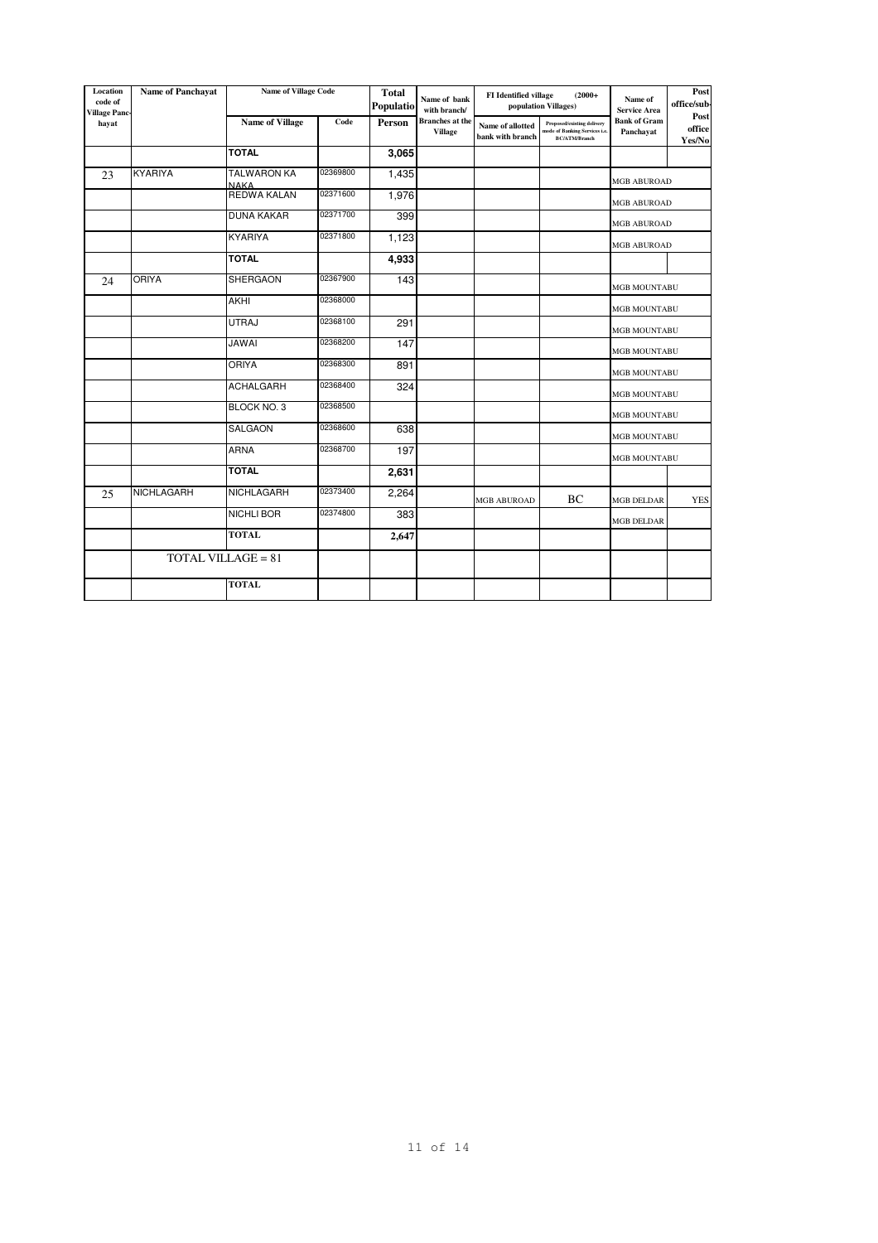| Location<br>code of<br><b>Village Panc-</b> | <b>Name of Panchayat</b> | <b>Name of Village Code</b>       |          | <b>Total</b><br>Populatio | Name of bank<br>with branch/             | <b>FI</b> Identified village         | $(2000+$<br>population Villages)                                             | Name of<br><b>Service Area</b>   | Post<br>office/sub-      |
|---------------------------------------------|--------------------------|-----------------------------------|----------|---------------------------|------------------------------------------|--------------------------------------|------------------------------------------------------------------------------|----------------------------------|--------------------------|
| hayat                                       |                          | Name of Village                   | Code     | Person                    | <b>Branches</b> at the<br><b>Village</b> | Name of allotted<br>bank with branch | Proposed/existing delivery<br>node of Banking Services i.e.<br>BC/ATM/Branch | <b>Bank of Gram</b><br>Panchayat | Post<br>office<br>Yes/No |
|                                             |                          | <b>TOTAL</b>                      |          | 3,065                     |                                          |                                      |                                                                              |                                  |                          |
| 23                                          | <b>KYARIYA</b>           | <b>TALWARON KA</b><br><b>NAKA</b> | 02369800 | 1,435                     |                                          |                                      |                                                                              | <b>MGB ABUROAD</b>               |                          |
|                                             |                          | <b>REDWA KALAN</b>                | 02371600 | 1,976                     |                                          |                                      |                                                                              | <b>MGB ABUROAD</b>               |                          |
|                                             |                          | <b>DUNA KAKAR</b>                 | 02371700 | 399                       |                                          |                                      |                                                                              | <b>MGB ABUROAD</b>               |                          |
|                                             |                          | <b>KYARIYA</b>                    | 02371800 | 1,123                     |                                          |                                      |                                                                              | <b>MGB ABUROAD</b>               |                          |
|                                             |                          | <b>TOTAL</b>                      |          | 4,933                     |                                          |                                      |                                                                              |                                  |                          |
| 24                                          | <b>ORIYA</b>             | SHERGAON                          | 02367900 | 143                       |                                          |                                      |                                                                              | <b>MGB MOUNTABU</b>              |                          |
|                                             |                          | <b>AKHI</b>                       | 02368000 |                           |                                          |                                      |                                                                              | <b>MGB MOUNTABU</b>              |                          |
|                                             |                          | UTRAJ                             | 02368100 | 291                       |                                          |                                      |                                                                              | <b>MGB MOUNTABU</b>              |                          |
|                                             |                          | <b>JAWAI</b>                      | 02368200 | 147                       |                                          |                                      |                                                                              | MGB MOUNTABU                     |                          |
|                                             |                          | <b>ORIYA</b>                      | 02368300 | 891                       |                                          |                                      |                                                                              | <b>MGB MOUNTABU</b>              |                          |
|                                             |                          | <b>ACHALGARH</b>                  | 02368400 | 324                       |                                          |                                      |                                                                              | <b>MGB MOUNTABU</b>              |                          |
|                                             |                          | BLOCK NO. 3                       | 02368500 |                           |                                          |                                      |                                                                              | MGB MOUNTABU                     |                          |
|                                             |                          | SALGAON                           | 02368600 | 638                       |                                          |                                      |                                                                              | MGB MOUNTABU                     |                          |
|                                             |                          | <b>ARNA</b>                       | 02368700 | 197                       |                                          |                                      |                                                                              | MGB MOUNTABU                     |                          |
|                                             |                          | <b>TOTAL</b>                      |          | 2,631                     |                                          |                                      |                                                                              |                                  |                          |
| 25                                          | NICHLAGARH               | NICHLAGARH                        | 02373400 | 2,264                     |                                          | <b>MGB ABUROAD</b>                   | BC                                                                           | <b>MGB DELDAR</b>                | <b>YES</b>               |
|                                             |                          | <b>NICHLI BOR</b>                 | 02374800 | 383                       |                                          |                                      |                                                                              | <b>MGB DELDAR</b>                |                          |
|                                             |                          | <b>TOTAL</b>                      |          | 2,647                     |                                          |                                      |                                                                              |                                  |                          |
|                                             |                          | <b>TOTAL VILLAGE = 81</b>         |          |                           |                                          |                                      |                                                                              |                                  |                          |
|                                             |                          | <b>TOTAL</b>                      |          |                           |                                          |                                      |                                                                              |                                  |                          |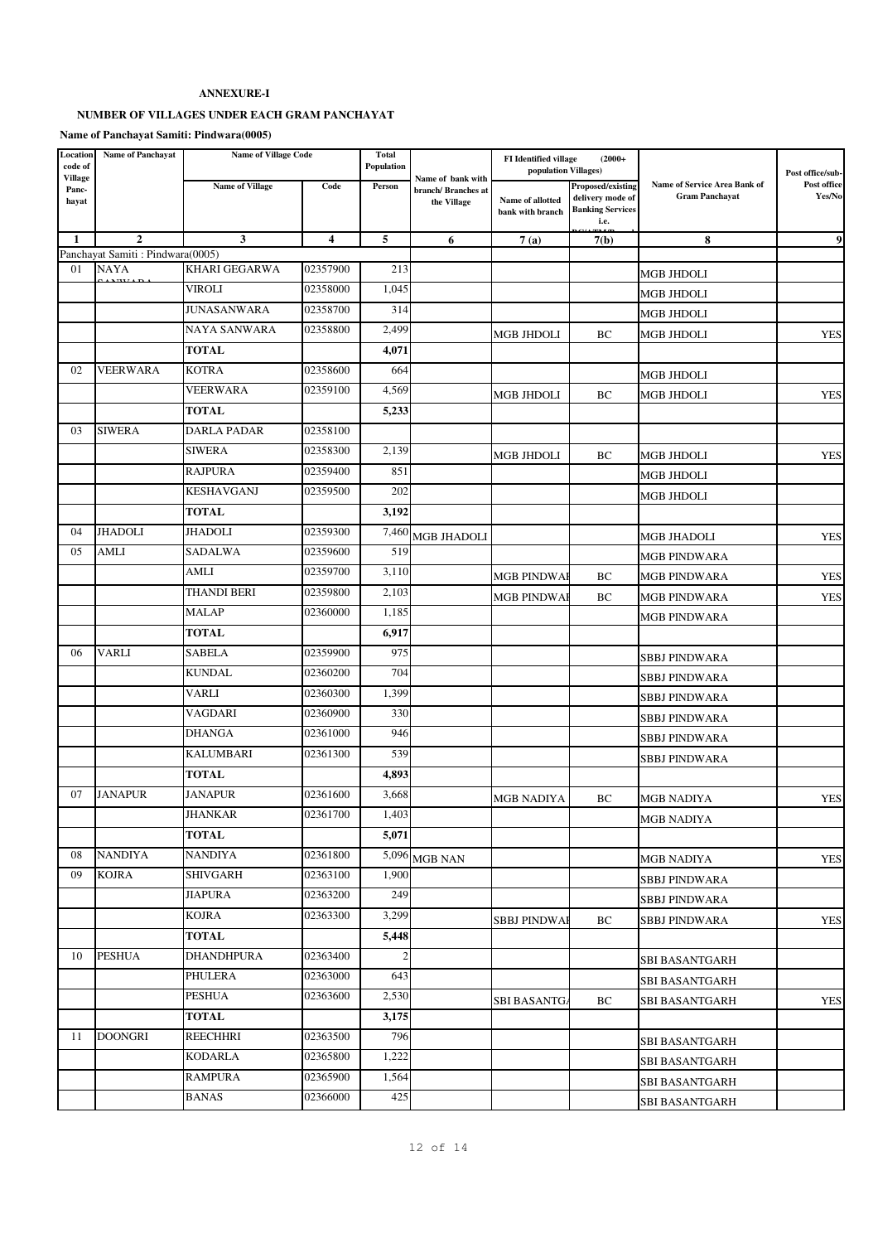## **ANNEXURE-I**

# **NUMBER OF VILLAGES UNDER EACH GRAM PANCHAYAT**

**Name of Panchayat Samiti: Pindwara(0005)**

| Location<br>code of<br><b>Village</b> | <b>Name of Panchayat</b>                        | <b>Name of Village Code</b> |          | Total<br>Population |                                                        | <b>FI</b> Identified village<br>population Villages) | $(2000+$                                                                        |                                                       | Post office/sub-      |
|---------------------------------------|-------------------------------------------------|-----------------------------|----------|---------------------|--------------------------------------------------------|------------------------------------------------------|---------------------------------------------------------------------------------|-------------------------------------------------------|-----------------------|
| Panc-<br>hayat                        |                                                 | <b>Name of Village</b>      | Code     | Person              | Name of bank with<br>branch/Branches at<br>the Village | <b>Name of allotted</b><br>bank with branch          | <b>Proposed/existing</b><br>delivery mode of<br><b>Banking Services</b><br>i.e. | Name of Service Area Bank of<br><b>Gram Panchayat</b> | Post office<br>Yes/No |
| 1                                     | $\mathbf{2}$                                    | 3                           | 4        | 5                   | 6                                                      | 7(a)                                                 | 7(b)                                                                            | 8                                                     | 9                     |
| 01                                    | Panchayat Samiti: Pindwara(0005)<br><b>NAYA</b> | <b>KHARI GEGARWA</b>        | 02357900 | 213                 |                                                        |                                                      |                                                                                 |                                                       |                       |
|                                       |                                                 | VIROLI                      | 02358000 | 1,045               |                                                        |                                                      |                                                                                 | <b>MGB JHDOLI</b>                                     |                       |
|                                       |                                                 | <b>JUNASANWARA</b>          | 02358700 | 314                 |                                                        |                                                      |                                                                                 | <b>MGB JHDOLI</b>                                     |                       |
|                                       |                                                 | <b>NAYA SANWARA</b>         | 02358800 | 2,499               |                                                        |                                                      |                                                                                 | <b>MGB JHDOLI</b>                                     |                       |
|                                       |                                                 | <b>TOTAL</b>                |          | 4,071               |                                                        | MGB JHDOLI                                           | BС                                                                              | MGB JHDOLI                                            | <b>YES</b>            |
| 02                                    | <b>VEERWARA</b>                                 | <b>KOTRA</b>                | 02358600 | 664                 |                                                        |                                                      |                                                                                 |                                                       |                       |
|                                       |                                                 | <b>VEERWARA</b>             | 02359100 | 4,569               |                                                        |                                                      |                                                                                 | <b>MGB JHDOLI</b>                                     |                       |
|                                       |                                                 | <b>TOTAL</b>                |          | 5,233               |                                                        | <b>MGB JHDOLI</b>                                    | BC                                                                              | <b>MGB JHDOLI</b>                                     | <b>YES</b>            |
| 03                                    | <b>SIWERA</b>                                   | <b>DARLA PADAR</b>          | 02358100 |                     |                                                        |                                                      |                                                                                 |                                                       |                       |
|                                       |                                                 | <b>SIWERA</b>               | 02358300 | 2,139               |                                                        |                                                      |                                                                                 |                                                       |                       |
|                                       |                                                 | <b>RAJPURA</b>              | 02359400 | 851                 |                                                        | <b>MGB JHDOLI</b>                                    | ВC                                                                              | <b>MGB JHDOLI</b>                                     | <b>YES</b>            |
|                                       |                                                 | <b>KESHAVGANJ</b>           | 02359500 | 202                 |                                                        |                                                      |                                                                                 | <b>MGB JHDOLI</b>                                     |                       |
|                                       |                                                 | <b>TOTAL</b>                |          |                     |                                                        |                                                      |                                                                                 | <b>MGB JHDOLI</b>                                     |                       |
| 04                                    | <b>JHADOLI</b>                                  | <b>JHADOLI</b>              | 02359300 | 3,192               |                                                        |                                                      |                                                                                 |                                                       |                       |
| 05                                    | <b>AMLI</b>                                     | <b>SADALWA</b>              | 02359600 | 519                 | $7,460$ MGB JHADOLI                                    |                                                      |                                                                                 | <b>MGB JHADOLI</b>                                    | <b>YES</b>            |
|                                       |                                                 |                             | 02359700 |                     |                                                        |                                                      |                                                                                 | <b>MGB PINDWARA</b>                                   |                       |
|                                       |                                                 | AMLI<br>THANDI BERI         |          | 3,110               |                                                        | <b>MGB PINDWAI</b>                                   | BC                                                                              | <b>MGB PINDWARA</b>                                   | <b>YES</b>            |
|                                       |                                                 |                             | 02359800 | 2,103               |                                                        | <b>MGB PINDWA</b>                                    | BC                                                                              | <b>MGB PINDWARA</b>                                   | <b>YES</b>            |
|                                       |                                                 | <b>MALAP</b>                | 02360000 | 1,185               |                                                        |                                                      |                                                                                 | <b>MGB PINDWARA</b>                                   |                       |
|                                       |                                                 | <b>TOTAL</b>                |          | 6,917               |                                                        |                                                      |                                                                                 |                                                       |                       |
| 06                                    | <b>VARLI</b>                                    | <b>SABELA</b>               | 02359900 | 975                 |                                                        |                                                      |                                                                                 | <b>SBBJ PINDWARA</b>                                  |                       |
|                                       |                                                 | <b>KUNDAL</b>               | 02360200 | 704                 |                                                        |                                                      |                                                                                 | <b>SBBJ PINDWARA</b>                                  |                       |
|                                       |                                                 | VARLI                       | 02360300 | 1,399               |                                                        |                                                      |                                                                                 | <b>SBBJ PINDWARA</b>                                  |                       |
|                                       |                                                 | VAGDARI                     | 02360900 | 330                 |                                                        |                                                      |                                                                                 | <b>SBBJ PINDWARA</b>                                  |                       |
|                                       |                                                 | <b>DHANGA</b>               | 02361000 | 946                 |                                                        |                                                      |                                                                                 | <b>SBBJ PINDWARA</b>                                  |                       |
|                                       |                                                 | <b>KALUMBARI</b>            | 02361300 | 539                 |                                                        |                                                      |                                                                                 | SBBJ PINDWARA                                         |                       |
|                                       |                                                 | <b>TOTAL</b>                |          | 4,893               |                                                        |                                                      |                                                                                 |                                                       |                       |
| 07                                    | <b>JANAPUR</b>                                  | <b>JANAPUR</b>              | 02361600 | 3,668               |                                                        | <b>MGB NADIYA</b>                                    | BC                                                                              | <b>MGB NADIYA</b>                                     | <b>YES</b>            |
|                                       |                                                 | <b>JHANKAR</b>              | 02361700 | 1,403               |                                                        |                                                      |                                                                                 | <b>MGB NADIYA</b>                                     |                       |
|                                       |                                                 | <b>TOTAL</b>                |          | 5,071               |                                                        |                                                      |                                                                                 |                                                       |                       |
| 08                                    | <b>NANDIYA</b>                                  | <b>NANDIYA</b>              | 02361800 |                     | $5,096$ MGB NAN                                        |                                                      |                                                                                 | <b>MGB NADIYA</b>                                     | <b>YES</b>            |
| 09                                    | <b>KOJRA</b>                                    | <b>SHIVGARH</b>             | 02363100 | 1,900               |                                                        |                                                      |                                                                                 | <b>SBBJ PINDWARA</b>                                  |                       |
|                                       |                                                 | <b>JIAPURA</b>              | 02363200 | 249                 |                                                        |                                                      |                                                                                 | <b>SBBJ PINDWARA</b>                                  |                       |
|                                       |                                                 | <b>KOJRA</b>                | 02363300 | 3,299               |                                                        | <b>SBBJ PINDWAI</b>                                  | ВC                                                                              | SBBJ PINDWARA                                         | <b>YES</b>            |
|                                       |                                                 | <b>TOTAL</b>                |          | 5,448               |                                                        |                                                      |                                                                                 |                                                       |                       |
| 10                                    | <b>PESHUA</b>                                   | <b>DHANDHPURA</b>           | 02363400 | $\mathbf{2}$        |                                                        |                                                      |                                                                                 | <b>SBI BASANTGARH</b>                                 |                       |
|                                       |                                                 | PHULERA                     | 02363000 | 643                 |                                                        |                                                      |                                                                                 | SBI BASANTGARH                                        |                       |
|                                       |                                                 | <b>PESHUA</b>               | 02363600 | 2,530               |                                                        | <b>SBI BASANTG</b>                                   | ВC                                                                              | <b>SBI BASANTGARH</b>                                 | <b>YES</b>            |
|                                       |                                                 | <b>TOTAL</b>                |          | 3,175               |                                                        |                                                      |                                                                                 |                                                       |                       |
| 11                                    | <b>DOONGRI</b>                                  | <b>REECHHRI</b>             | 02363500 | 796                 |                                                        |                                                      |                                                                                 | <b>SBI BASANTGARH</b>                                 |                       |
|                                       |                                                 | <b>KODARLA</b>              | 02365800 | 1,222               |                                                        |                                                      |                                                                                 | <b>SBI BASANTGARH</b>                                 |                       |
|                                       |                                                 | <b>RAMPURA</b>              | 02365900 | 1,564               |                                                        |                                                      |                                                                                 | <b>SBI BASANTGARH</b>                                 |                       |
|                                       |                                                 | <b>BANAS</b>                | 02366000 | 425                 |                                                        |                                                      |                                                                                 | SBI BASANTGARH                                        |                       |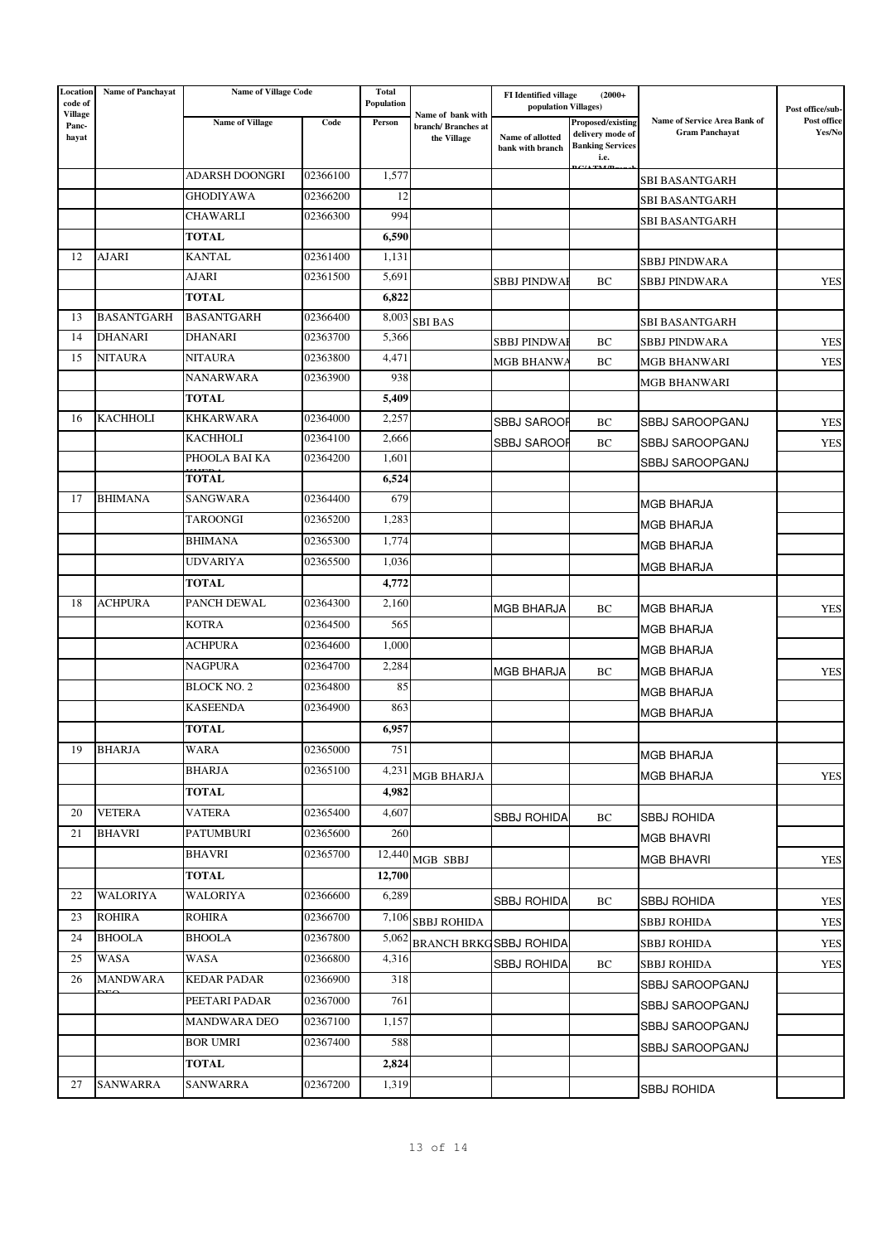| Location<br>code of<br><b>Village</b> | <b>Name of Panchayat</b> | <b>Name of Village Code</b> |          | <b>Total</b><br>Population | Name of bank with                 | <b>FI</b> Identified village<br>$(2000+$<br>population Villages) |                                                                          |                                                       | Post office/sub-      |
|---------------------------------------|--------------------------|-----------------------------|----------|----------------------------|-----------------------------------|------------------------------------------------------------------|--------------------------------------------------------------------------|-------------------------------------------------------|-----------------------|
| Panc-<br>hayat                        |                          | <b>Name of Village</b>      | Code     | Person                     | branch/Branches at<br>the Village | Name of allotted<br>bank with branch                             | Proposed/existing<br>delivery mode of<br><b>Banking Services</b><br>i.e. | Name of Service Area Bank of<br><b>Gram Panchayat</b> | Post office<br>Yes/No |
|                                       |                          | <b>ADARSH DOONGRI</b>       | 02366100 | 1,577                      |                                   |                                                                  |                                                                          | SBI BASANTGARH                                        |                       |
|                                       |                          | <b>GHODIYAWA</b>            | 02366200 | 12                         |                                   |                                                                  |                                                                          | SBI BASANTGARH                                        |                       |
|                                       |                          | CHAWARLI                    | 02366300 | 994                        |                                   |                                                                  |                                                                          | SBI BASANTGARH                                        |                       |
|                                       |                          | <b>TOTAL</b>                |          | 6,590                      |                                   |                                                                  |                                                                          |                                                       |                       |
| 12                                    | <b>AJARI</b>             | <b>KANTAL</b>               | 02361400 | 1,131                      |                                   |                                                                  |                                                                          | <b>SBBJ PINDWARA</b>                                  |                       |
|                                       |                          | AJARI                       | 02361500 | 5,691                      |                                   | <b>SBBJ PINDWAI</b>                                              | BC                                                                       | <b>SBBJ PINDWARA</b>                                  | <b>YES</b>            |
|                                       |                          | <b>TOTAL</b>                |          | 6,822                      |                                   |                                                                  |                                                                          |                                                       |                       |
| 13                                    | <b>BASANTGARH</b>        | <b>BASANTGARH</b>           | 02366400 | 8,003                      | <b>SBI BAS</b>                    |                                                                  |                                                                          | SBI BASANTGARH                                        |                       |
| 14                                    | <b>DHANARI</b>           | <b>DHANARI</b>              | 02363700 | 5,366                      |                                   | SBBJ PINDWAI                                                     | BC                                                                       | SBBJ PINDWARA                                         | <b>YES</b>            |
| 15                                    | <b>NITAURA</b>           | <b>NITAURA</b>              | 02363800 | 4,471                      |                                   | <b>MGB BHANWA</b>                                                | ВC                                                                       | MGB BHANWARI                                          | <b>YES</b>            |
|                                       |                          | <b>NANARWARA</b>            | 02363900 | 938                        |                                   |                                                                  |                                                                          | MGB BHANWARI                                          |                       |
|                                       |                          | <b>TOTAL</b>                |          | 5,409                      |                                   |                                                                  |                                                                          |                                                       |                       |
| 16                                    | <b>KACHHOLI</b>          | <b>KHKARWARA</b>            | 02364000 | 2,257                      |                                   | <b>SBBJ SAROOR</b>                                               | BC                                                                       | SBBJ SAROOPGANJ                                       | <b>YES</b>            |
|                                       |                          | <b>KACHHOLI</b>             | 02364100 | 2,666                      |                                   | <b>SBBJ SAROOR</b>                                               | BC                                                                       | <b>SBBJ SAROOPGANJ</b>                                | <b>YES</b>            |
|                                       |                          | PHOOLA BAI KA               | 02364200 | 1,601                      |                                   |                                                                  |                                                                          | SBBJ SAROOPGANJ                                       |                       |
|                                       |                          | <b>TOTAL</b>                |          | 6,524                      |                                   |                                                                  |                                                                          |                                                       |                       |
| 17                                    | <b>BHIMANA</b>           | <b>SANGWARA</b>             | 02364400 | 679                        |                                   |                                                                  |                                                                          | <b>MGB BHARJA</b>                                     |                       |
|                                       |                          | TAROONGI                    | 02365200 | 1,283                      |                                   |                                                                  |                                                                          | <b>MGB BHARJA</b>                                     |                       |
|                                       |                          | <b>BHIMANA</b>              | 02365300 | 1,774                      |                                   |                                                                  |                                                                          | <b>MGB BHARJA</b>                                     |                       |
|                                       |                          | <b>UDVARIYA</b>             | 02365500 | 1,036                      |                                   |                                                                  |                                                                          | <b>MGB BHARJA</b>                                     |                       |
|                                       |                          | <b>TOTAL</b>                |          | 4,772                      |                                   |                                                                  |                                                                          |                                                       |                       |
| 18                                    | <b>ACHPURA</b>           | PANCH DEWAL                 | 02364300 | 2,160                      |                                   | <b>MGB BHARJA</b>                                                | BC                                                                       | <b>MGB BHARJA</b>                                     | <b>YES</b>            |
|                                       |                          | <b>KOTRA</b>                | 02364500 | 565                        |                                   |                                                                  |                                                                          | <b>MGB BHARJA</b>                                     |                       |
|                                       |                          | <b>ACHPURA</b>              | 02364600 | 1,000                      |                                   |                                                                  |                                                                          | <b>MGB BHARJA</b>                                     |                       |
|                                       |                          | <b>NAGPURA</b>              | 02364700 | 2,284                      |                                   | <b>MGB BHARJA</b>                                                | BC                                                                       | <b>MGB BHARJA</b>                                     | <b>YES</b>            |
|                                       |                          | <b>BLOCK NO. 2</b>          | 02364800 | 85                         |                                   |                                                                  |                                                                          | <b>MGB BHARJA</b>                                     |                       |
|                                       |                          | <b>KASEENDA</b>             | 02364900 | 863                        |                                   |                                                                  |                                                                          | <b>MGB BHARJA</b>                                     |                       |
|                                       |                          | <b>TOTAL</b>                |          | 6,957                      |                                   |                                                                  |                                                                          |                                                       |                       |
| 19                                    | <b>BHARJA</b>            | WARA                        | 02365000 | 751                        |                                   |                                                                  |                                                                          | <b>MGB BHARJA</b>                                     |                       |
|                                       |                          | <b>BHARJA</b>               | 02365100 | 4,231                      | <b>MGB BHARJA</b>                 |                                                                  |                                                                          | <b>MGB BHARJA</b>                                     | <b>YES</b>            |
|                                       |                          | <b>TOTAL</b>                |          | 4,982                      |                                   |                                                                  |                                                                          |                                                       |                       |
| 20                                    | <b>VETERA</b>            | VATERA                      | 02365400 | 4,607                      |                                   | SBBJ ROHIDA                                                      | BС                                                                       | <b>SBBJ ROHIDA</b>                                    |                       |
| 21                                    | <b>BHAVRI</b>            | PATUMBURI                   | 02365600 | 260                        |                                   |                                                                  |                                                                          | <b>MGB BHAVRI</b>                                     |                       |
|                                       |                          | <b>BHAVRI</b>               | 02365700 |                            | $12,440$ MGB SBBJ                 |                                                                  |                                                                          | <b>MGB BHAVRI</b>                                     | <b>YES</b>            |
|                                       |                          | <b>TOTAL</b>                |          | 12,700                     |                                   |                                                                  |                                                                          |                                                       |                       |
| 22                                    | <b>WALORIYA</b>          | WALORIYA                    | 02366600 | 6,289                      |                                   | <b>SBBJ ROHIDA</b>                                               | ВC                                                                       | <b>SBBJ ROHIDA</b>                                    | <b>YES</b>            |
| 23                                    | <b>ROHIRA</b>            | <b>ROHIRA</b>               | 02366700 | 7,106                      | <b>SBBJ ROHIDA</b>                |                                                                  |                                                                          | <b>SBBJ ROHIDA</b>                                    | <b>YES</b>            |
| 24                                    | <b>BHOOLA</b>            | <b>BHOOLA</b>               | 02367800 | 5,062                      |                                   | <b>BRANCH BRKGSBBJ ROHIDA</b>                                    |                                                                          | SBBJ ROHIDA                                           | <b>YES</b>            |
| 25                                    | WASA                     | WASA                        | 02366800 | 4,316                      |                                   | <b>SBBJ ROHIDA</b>                                               | ВC                                                                       | SBBJ ROHIDA                                           | <b>YES</b>            |
| 26                                    | <b>MANDWARA</b>          | <b>KEDAR PADAR</b>          | 02366900 | 318                        |                                   |                                                                  |                                                                          | SBBJ SAROOPGANJ                                       |                       |
|                                       |                          | PEETARI PADAR               | 02367000 | 761                        |                                   |                                                                  |                                                                          | SBBJ SAROOPGANJ                                       |                       |
|                                       |                          | <b>MANDWARA DEO</b>         | 02367100 | 1,157                      |                                   |                                                                  |                                                                          | SBBJ SAROOPGANJ                                       |                       |
|                                       |                          | <b>BOR UMRI</b>             | 02367400 | 588                        |                                   |                                                                  |                                                                          | SBBJ SAROOPGANJ                                       |                       |
|                                       |                          | <b>TOTAL</b>                |          | 2,824                      |                                   |                                                                  |                                                                          |                                                       |                       |
| 27                                    | <b>SANWARRA</b>          | SANWARRA                    | 02367200 | 1,319                      |                                   |                                                                  |                                                                          | <b>SBBJ ROHIDA</b>                                    |                       |